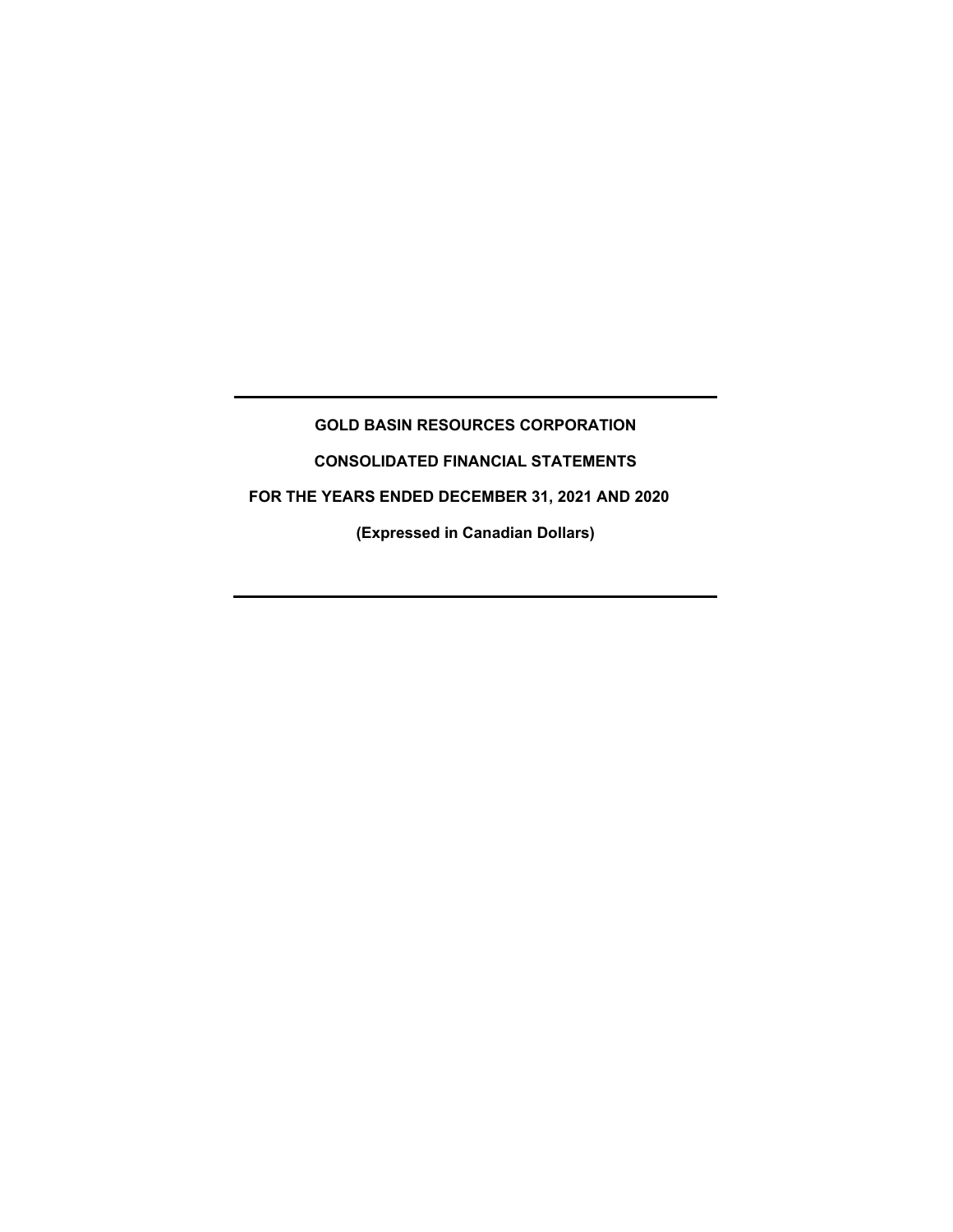# **GOLD BASIN RESOURCES CORPORATION**

**CONSOLIDATED FINANCIAL STATEMENTS** 

**FOR THE YEARS ENDED DECEMBER 31, 2021 AND 2020** 

**(Expressed in Canadian Dollars)**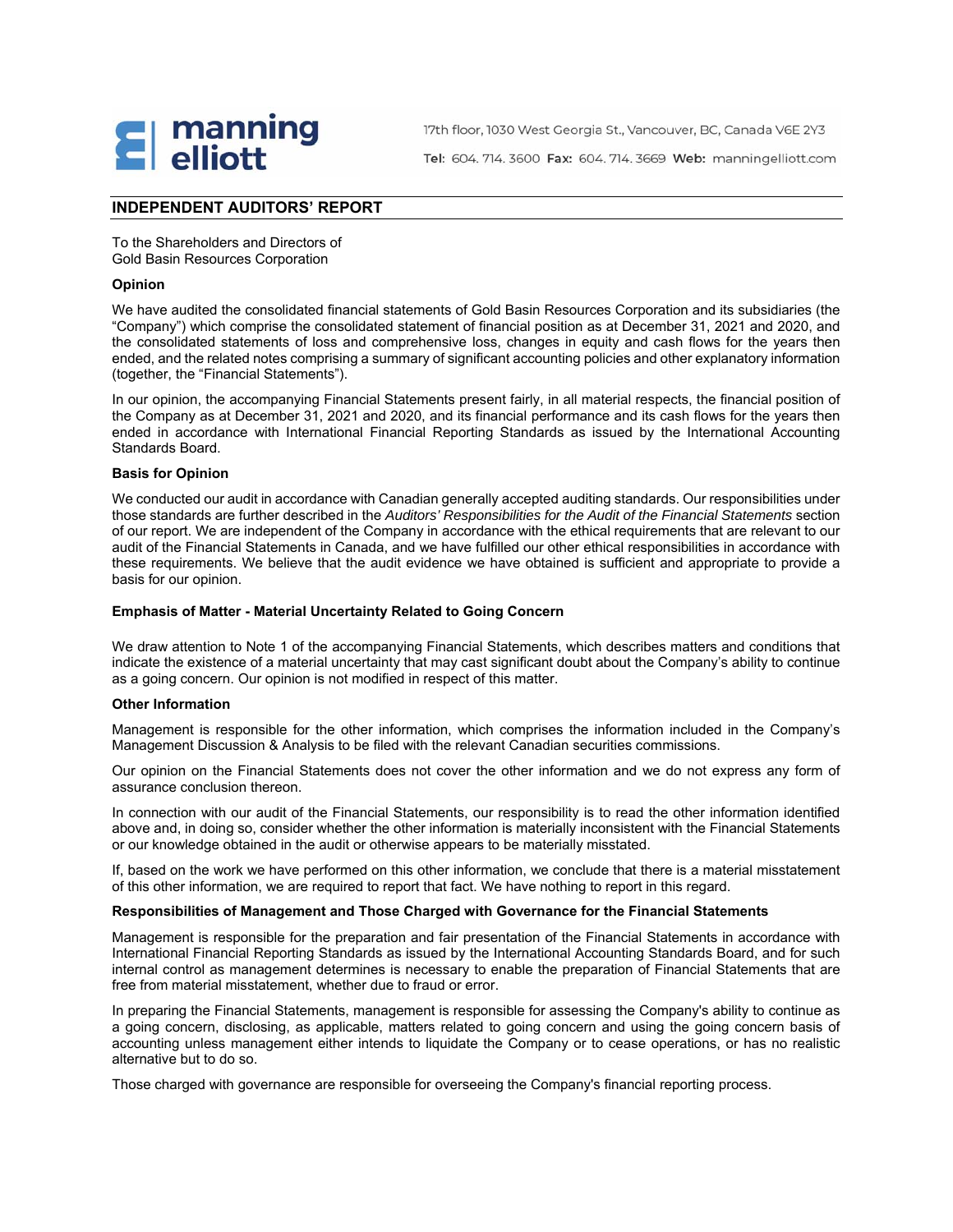

17th floor, 1030 West Georgia St., Vancouver, BC, Canada V6E 2Y3

Tel: 604. 714. 3600 Fax: 604. 714. 3669 Web: manningelliott.com

#### **INDEPENDENT AUDITORS' REPORT**

To the Shareholders and Directors of Gold Basin Resources Corporation

#### **Opinion**

We have audited the consolidated financial statements of Gold Basin Resources Corporation and its subsidiaries (the "Company") which comprise the consolidated statement of financial position as at December 31, 2021 and 2020, and the consolidated statements of loss and comprehensive loss, changes in equity and cash flows for the years then ended, and the related notes comprising a summary of significant accounting policies and other explanatory information (together, the "Financial Statements").

In our opinion, the accompanying Financial Statements present fairly, in all material respects, the financial position of the Company as at December 31, 2021 and 2020, and its financial performance and its cash flows for the years then ended in accordance with International Financial Reporting Standards as issued by the International Accounting Standards Board.

#### **Basis for Opinion**

We conducted our audit in accordance with Canadian generally accepted auditing standards. Our responsibilities under those standards are further described in the *Auditors' Responsibilities for the Audit of the Financial Statements* section of our report. We are independent of the Company in accordance with the ethical requirements that are relevant to our audit of the Financial Statements in Canada, and we have fulfilled our other ethical responsibilities in accordance with these requirements. We believe that the audit evidence we have obtained is sufficient and appropriate to provide a basis for our opinion.

#### **Emphasis of Matter - Material Uncertainty Related to Going Concern**

We draw attention to Note 1 of the accompanying Financial Statements, which describes matters and conditions that indicate the existence of a material uncertainty that may cast significant doubt about the Company's ability to continue as a going concern. Our opinion is not modified in respect of this matter.

#### **Other Information**

Management is responsible for the other information, which comprises the information included in the Company's Management Discussion & Analysis to be filed with the relevant Canadian securities commissions.

Our opinion on the Financial Statements does not cover the other information and we do not express any form of assurance conclusion thereon.

In connection with our audit of the Financial Statements, our responsibility is to read the other information identified above and, in doing so, consider whether the other information is materially inconsistent with the Financial Statements or our knowledge obtained in the audit or otherwise appears to be materially misstated.

If, based on the work we have performed on this other information, we conclude that there is a material misstatement of this other information, we are required to report that fact. We have nothing to report in this regard.

#### **Responsibilities of Management and Those Charged with Governance for the Financial Statements**

Management is responsible for the preparation and fair presentation of the Financial Statements in accordance with International Financial Reporting Standards as issued by the International Accounting Standards Board, and for such internal control as management determines is necessary to enable the preparation of Financial Statements that are free from material misstatement, whether due to fraud or error.

In preparing the Financial Statements, management is responsible for assessing the Company's ability to continue as a going concern, disclosing, as applicable, matters related to going concern and using the going concern basis of accounting unless management either intends to liquidate the Company or to cease operations, or has no realistic alternative but to do so.

Those charged with governance are responsible for overseeing the Company's financial reporting process.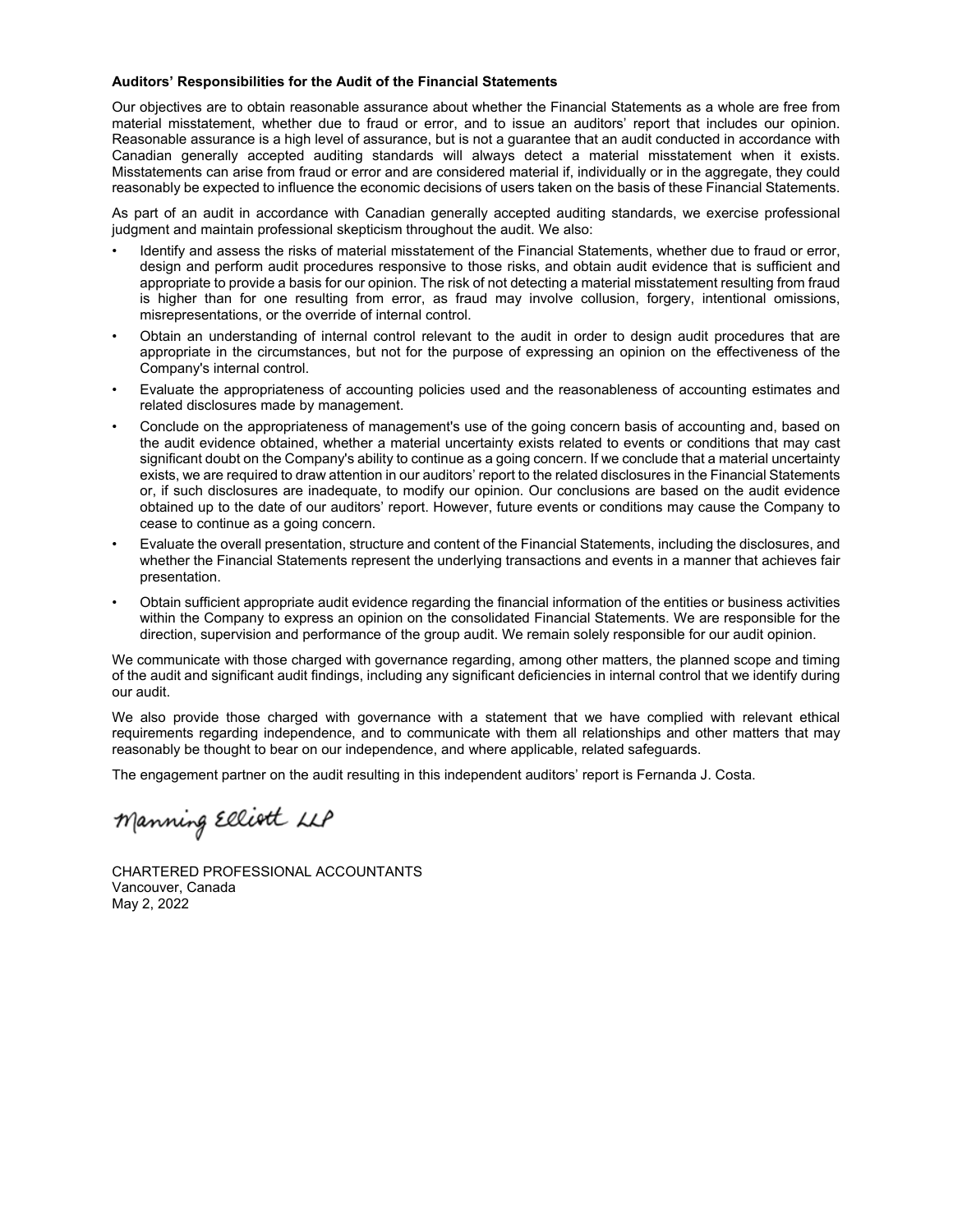#### **Auditors' Responsibilities for the Audit of the Financial Statements**

Our objectives are to obtain reasonable assurance about whether the Financial Statements as a whole are free from material misstatement, whether due to fraud or error, and to issue an auditors' report that includes our opinion. Reasonable assurance is a high level of assurance, but is not a guarantee that an audit conducted in accordance with Canadian generally accepted auditing standards will always detect a material misstatement when it exists. Misstatements can arise from fraud or error and are considered material if, individually or in the aggregate, they could reasonably be expected to influence the economic decisions of users taken on the basis of these Financial Statements.

As part of an audit in accordance with Canadian generally accepted auditing standards, we exercise professional judgment and maintain professional skepticism throughout the audit. We also:

- Identify and assess the risks of material misstatement of the Financial Statements, whether due to fraud or error, design and perform audit procedures responsive to those risks, and obtain audit evidence that is sufficient and appropriate to provide a basis for our opinion. The risk of not detecting a material misstatement resulting from fraud is higher than for one resulting from error, as fraud may involve collusion, forgery, intentional omissions, misrepresentations, or the override of internal control.
- Obtain an understanding of internal control relevant to the audit in order to design audit procedures that are appropriate in the circumstances, but not for the purpose of expressing an opinion on the effectiveness of the Company's internal control.
- Evaluate the appropriateness of accounting policies used and the reasonableness of accounting estimates and related disclosures made by management.
- Conclude on the appropriateness of management's use of the going concern basis of accounting and, based on the audit evidence obtained, whether a material uncertainty exists related to events or conditions that may cast significant doubt on the Company's ability to continue as a going concern. If we conclude that a material uncertainty exists, we are required to draw attention in our auditors' report to the related disclosures in the Financial Statements or, if such disclosures are inadequate, to modify our opinion. Our conclusions are based on the audit evidence obtained up to the date of our auditors' report. However, future events or conditions may cause the Company to cease to continue as a going concern.
- Evaluate the overall presentation, structure and content of the Financial Statements, including the disclosures, and whether the Financial Statements represent the underlying transactions and events in a manner that achieves fair presentation.
- Obtain sufficient appropriate audit evidence regarding the financial information of the entities or business activities within the Company to express an opinion on the consolidated Financial Statements. We are responsible for the direction, supervision and performance of the group audit. We remain solely responsible for our audit opinion.

We communicate with those charged with governance regarding, among other matters, the planned scope and timing of the audit and significant audit findings, including any significant deficiencies in internal control that we identify during our audit.

We also provide those charged with governance with a statement that we have complied with relevant ethical requirements regarding independence, and to communicate with them all relationships and other matters that may reasonably be thought to bear on our independence, and where applicable, related safeguards.

The engagement partner on the audit resulting in this independent auditors' report is Fernanda J. Costa.

Manning Elliott LLP

CHARTERED PROFESSIONAL ACCOUNTANTS Vancouver, Canada May 2, 2022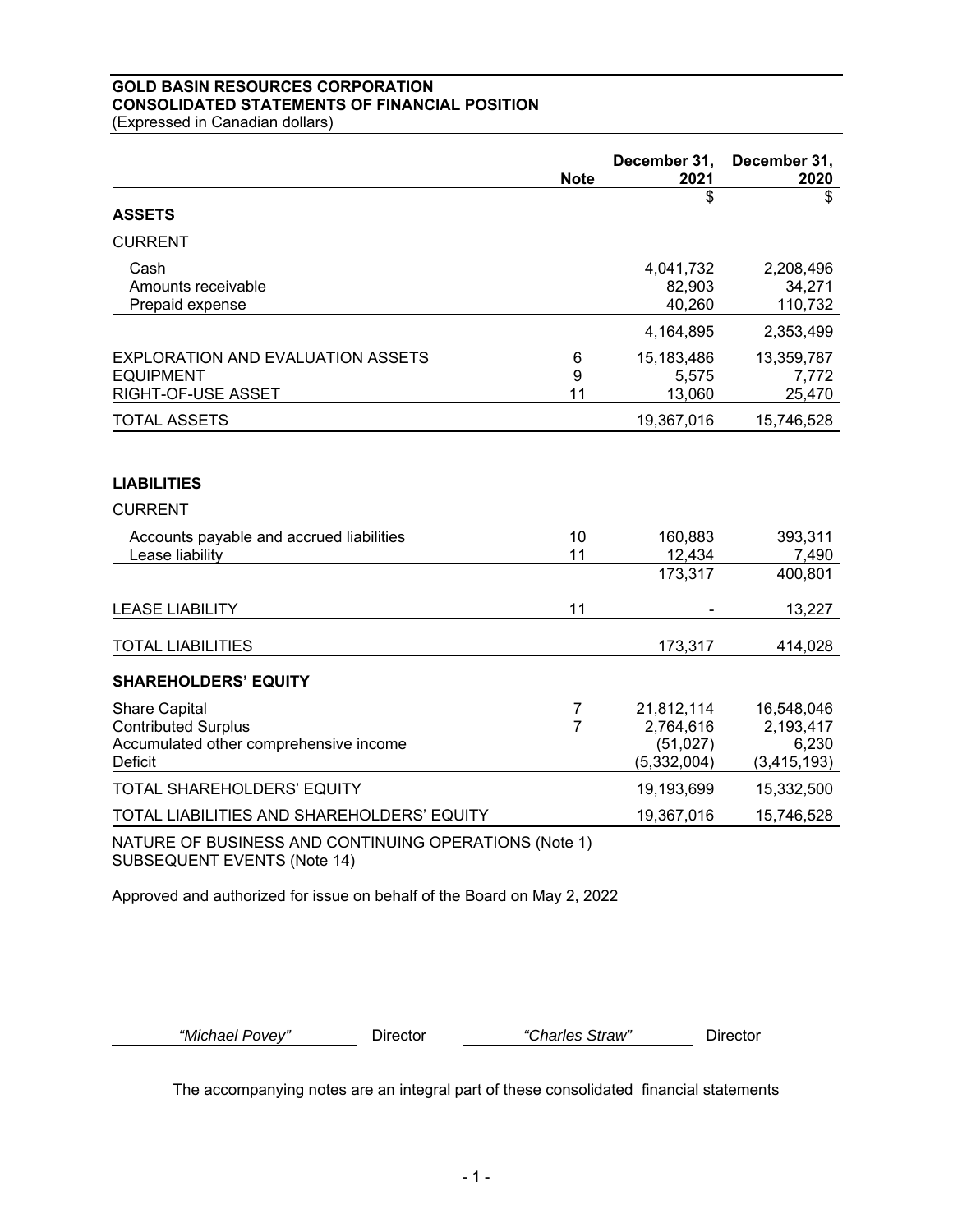## **GOLD BASIN RESOURCES CORPORATION CONSOLIDATED STATEMENTS OF FINANCIAL POSITION**

(Expressed in Canadian dollars)

|                                                                                                                | <b>Note</b>                      | December 31,<br>2021                                | December 31,<br>2020                              |
|----------------------------------------------------------------------------------------------------------------|----------------------------------|-----------------------------------------------------|---------------------------------------------------|
| <b>ASSETS</b>                                                                                                  |                                  | \$                                                  | \$                                                |
| <b>CURRENT</b>                                                                                                 |                                  |                                                     |                                                   |
| Cash<br>Amounts receivable<br>Prepaid expense                                                                  |                                  | 4,041,732<br>82,903<br>40,260                       | 2,208,496<br>34,271<br>110,732                    |
|                                                                                                                |                                  | 4,164,895                                           | 2,353,499                                         |
| <b>EXPLORATION AND EVALUATION ASSETS</b><br><b>EQUIPMENT</b><br>RIGHT-OF-USE ASSET                             | 6<br>9<br>11                     | 15,183,486<br>5,575<br>13,060                       | 13,359,787<br>7,772<br>25,470                     |
| <b>TOTAL ASSETS</b>                                                                                            |                                  | 19,367,016                                          | 15,746,528                                        |
| <b>LIABILITIES</b><br><b>CURRENT</b>                                                                           |                                  |                                                     |                                                   |
| Accounts payable and accrued liabilities<br>Lease liability                                                    | 10<br>11                         | 160,883<br>12,434                                   | 393,311<br>7,490                                  |
|                                                                                                                |                                  | 173,317                                             | 400,801                                           |
| <b>LEASE LIABILITY</b>                                                                                         | 11                               |                                                     | 13,227                                            |
| <b>TOTAL LIABILITIES</b>                                                                                       |                                  | 173,317                                             | 414,028                                           |
| <b>SHAREHOLDERS' EQUITY</b>                                                                                    |                                  |                                                     |                                                   |
| <b>Share Capital</b><br><b>Contributed Surplus</b><br>Accumulated other comprehensive income<br><b>Deficit</b> | $\overline{7}$<br>$\overline{7}$ | 21,812,114<br>2,764,616<br>(51, 027)<br>(5,332,004) | 16,548,046<br>2,193,417<br>6,230<br>(3, 415, 193) |
| <b>TOTAL SHAREHOLDERS' EQUITY</b>                                                                              |                                  | 19,193,699                                          | 15,332,500                                        |
| TOTAL LIABILITIES AND SHAREHOLDERS' EQUITY                                                                     |                                  | 19,367,016                                          | 15,746,528                                        |

NATURE OF BUSINESS AND CONTINUING OPERATIONS (Note 1) SUBSEQUENT EVENTS (Note 14)

Approved and authorized for issue on behalf of the Board on May 2, 2022

*"Michael Povey"* Director *"Charles Straw"* Director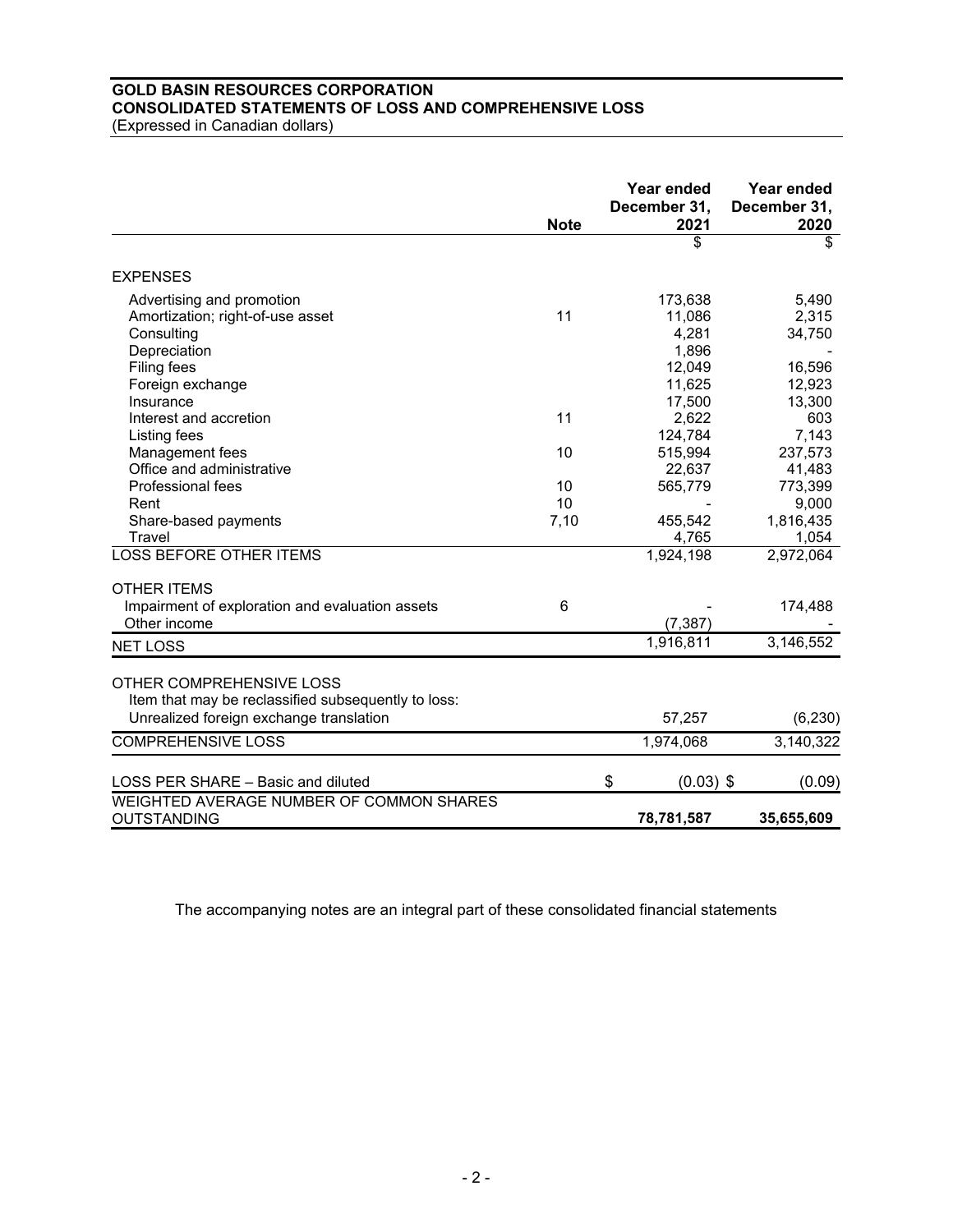## **GOLD BASIN RESOURCES CORPORATION CONSOLIDATED STATEMENTS OF LOSS AND COMPREHENSIVE LOSS**

(Expressed in Canadian dollars)

|                                                                                 | <b>Note</b> | Year ended<br>December 31,<br>2021 |             | Year ended<br>December 31,<br>2020 |
|---------------------------------------------------------------------------------|-------------|------------------------------------|-------------|------------------------------------|
|                                                                                 |             |                                    | \$          | \$                                 |
| <b>EXPENSES</b>                                                                 |             |                                    |             |                                    |
| Advertising and promotion                                                       |             | 173,638                            |             | 5,490                              |
| Amortization; right-of-use asset                                                | 11          | 11,086                             |             | 2,315                              |
| Consulting                                                                      |             | 4,281                              |             | 34,750                             |
| Depreciation                                                                    |             | 1,896                              |             |                                    |
| Filing fees                                                                     |             | 12,049                             |             | 16,596                             |
| Foreign exchange                                                                |             | 11,625                             |             | 12,923                             |
| Insurance                                                                       |             | 17,500                             |             | 13,300                             |
| Interest and accretion                                                          | 11          | 2,622                              |             | 603                                |
| Listing fees                                                                    |             | 124,784                            |             | 7,143                              |
| Management fees                                                                 | 10          | 515,994                            |             | 237,573                            |
| Office and administrative                                                       |             | 22,637                             |             | 41,483                             |
| Professional fees                                                               | 10          | 565,779                            |             | 773,399                            |
| Rent                                                                            | 10          |                                    |             | 9,000                              |
| Share-based payments                                                            | 7,10        | 455,542                            |             | 1,816,435                          |
| Travel                                                                          |             | 4,765                              |             | 1,054                              |
| LOSS BEFORE OTHER ITEMS                                                         |             | 1,924,198                          |             | 2,972,064                          |
| <b>OTHER ITEMS</b>                                                              |             |                                    |             |                                    |
| Impairment of exploration and evaluation assets                                 | 6           |                                    |             | 174,488                            |
| Other income                                                                    |             | (7, 387)                           |             |                                    |
| <b>NET LOSS</b>                                                                 |             | 1,916,811                          |             | 3,146,552                          |
| OTHER COMPREHENSIVE LOSS<br>Item that may be reclassified subsequently to loss: |             |                                    |             |                                    |
| Unrealized foreign exchange translation                                         |             | 57,257                             |             | (6, 230)                           |
| <b>COMPREHENSIVE LOSS</b>                                                       |             | 1,974,068                          |             | 3,140,322                          |
| LOSS PER SHARE - Basic and diluted                                              |             | \$                                 | $(0.03)$ \$ | (0.09)                             |
|                                                                                 |             |                                    |             |                                    |
| WEIGHTED AVERAGE NUMBER OF COMMON SHARES<br><b>OUTSTANDING</b>                  |             | 78,781,587                         |             | 35,655,609                         |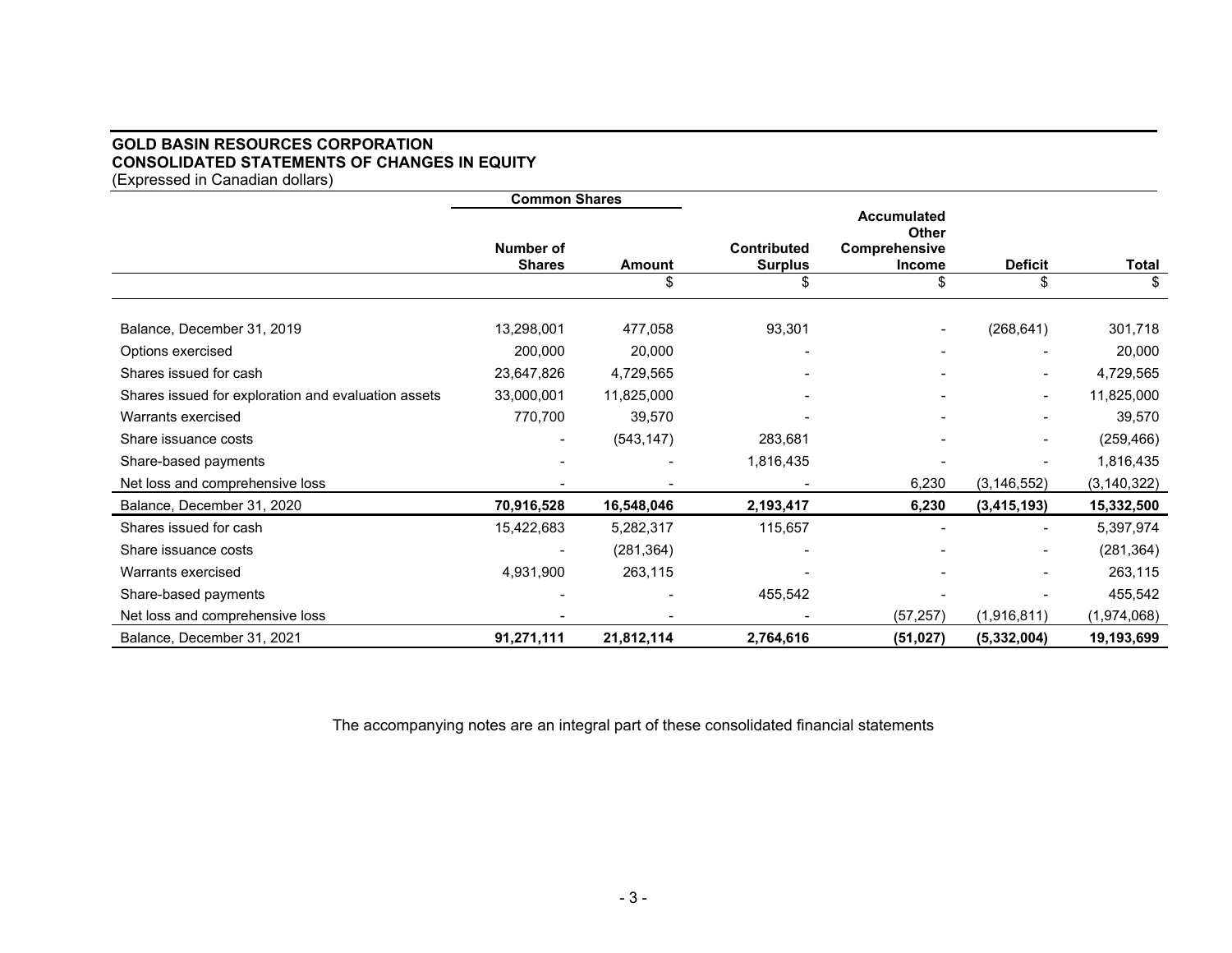## **GOLD BASIN RESOURCES CORPORATION CONSOLIDATED STATEMENTS OF CHANGES IN EQUITY**  (Expressed in Canadian dollars)

**Common Shares Number of Shares Amount Contributed Surplus Accumulated Other Comprehensive Income** Deficit **Total**  \$ \$ \$ \$ \$ Balance, December 31, 2019 13,298,001 13,298,001 477,058 93,301 1301,298,001 301,718 Options exercised 200,000 20,000 - - - 20,000 Shares issued for cash and the cash 23,647,826 4,729,565 - - - - - - - - - - - 4,729,565 Shares issued for exploration and evaluation assets  $33,000,001$   $11,825,000$  - - - - - - - - - - - - 11,825,000 Warrants exercised and the control of the control of the 770,700 39,570 and the control of the control of the control of the 39,570 and the 39,570 and the control of the control of the control of the control of the control Share issuance costs 6. 259,466 and the costs of the costs of the costs of the costs of the costs of the costs of the costs of the costs of the costs of the costs of the costs of the costs of the costs of the costs of the Share-based payments **1,816,435** - 1,816,435 - 1,816,435 - 1,816,435 - 1,816,435 - 1,816,435 - 1,816,435 - 1,816,435 Net loss and comprehensive loss extendions of the state of the state of the state of the state of the state of the state of the state of the state of the state of the state of the state of the state of the state of the sta Balance, December 31, 2020 **70,916,528 16,548,046 2,193,417 6,230 (3,415,193) 15,332,500**  Shares issued for cash 15,422,683 5,282,317 115,657 - - 5,397,974 Share issuance costs - (281,364) - - - (281,364) Warrants exercised 4,931,900 263,115 263,115 Share-based payments 455,542 - 455,542 - 455,542 - 455,542 - 455,542 - 455,542 - 455,542 - 455,542 - 455,542 - 455,542 - 455,542 - 455,542 - 455,542 - 455,542 - 455,542 - 455,542 - 455,542 - 455,542 - 455,542 - 455,542 - 4 Net loss and comprehensive loss - - - (57,257) (1,916,811) (1,974,068) Balance, December 31, 2021 **91,271,111 21,812,114 2,764,616 (51,027) (5,332,004) 19,193,699**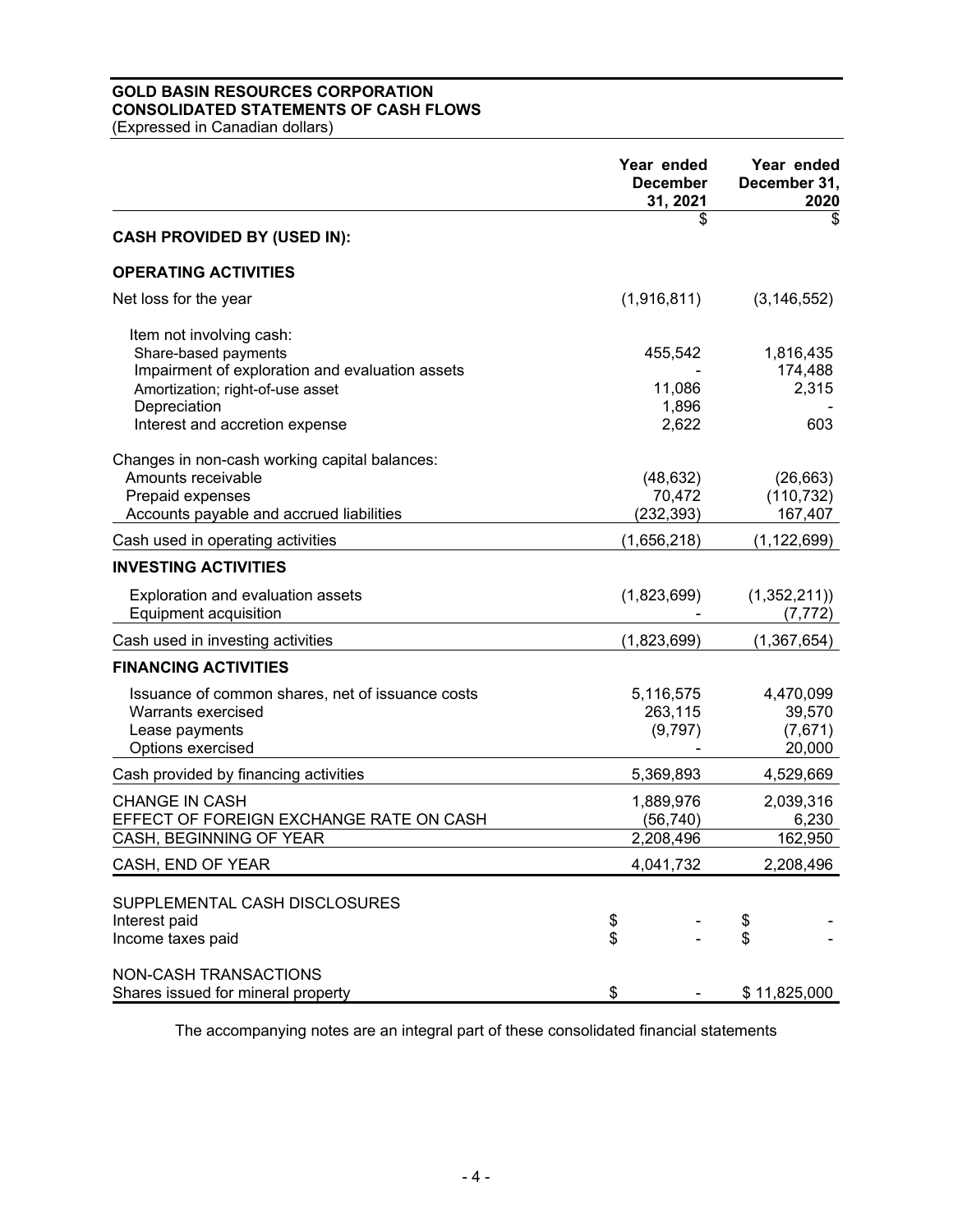## **GOLD BASIN RESOURCES CORPORATION CONSOLIDATED STATEMENTS OF CASH FLOWS**

(Expressed in Canadian dollars)

|                                                                                                                                                                                           | Year ended<br><b>December</b><br>31, 2021 | Year ended<br>December 31,<br>2020       |
|-------------------------------------------------------------------------------------------------------------------------------------------------------------------------------------------|-------------------------------------------|------------------------------------------|
| <b>CASH PROVIDED BY (USED IN):</b>                                                                                                                                                        |                                           | \$<br>\$                                 |
| <b>OPERATING ACTIVITIES</b>                                                                                                                                                               |                                           |                                          |
| Net loss for the year                                                                                                                                                                     | (1,916,811)                               | (3, 146, 552)                            |
| Item not involving cash:<br>Share-based payments<br>Impairment of exploration and evaluation assets<br>Amortization; right-of-use asset<br>Depreciation<br>Interest and accretion expense | 455,542<br>11,086<br>1,896<br>2,622       | 1,816,435<br>174,488<br>2,315<br>603     |
| Changes in non-cash working capital balances:<br>Amounts receivable<br>Prepaid expenses<br>Accounts payable and accrued liabilities                                                       | (48, 632)<br>70,472<br>(232,393)          | (26, 663)<br>(110, 732)<br>167,407       |
| Cash used in operating activities                                                                                                                                                         | (1,656,218)                               | (1, 122, 699)                            |
| <b>INVESTING ACTIVITIES</b>                                                                                                                                                               |                                           |                                          |
| Exploration and evaluation assets<br>Equipment acquisition                                                                                                                                | (1,823,699)                               | (1,352,211)<br>(7, 772)                  |
| Cash used in investing activities                                                                                                                                                         | (1,823,699)                               | (1,367,654)                              |
| <b>FINANCING ACTIVITIES</b>                                                                                                                                                               |                                           |                                          |
| Issuance of common shares, net of issuance costs<br>Warrants exercised<br>Lease payments<br>Options exercised                                                                             | 5,116,575<br>263,115<br>(9,797)           | 4,470,099<br>39,570<br>(7,671)<br>20,000 |
| Cash provided by financing activities                                                                                                                                                     | 5,369,893                                 | 4,529,669                                |
| <b>CHANGE IN CASH</b><br>EFFECT OF FOREIGN EXCHANGE RATE ON CASH<br>CASH, BEGINNING OF YEAR                                                                                               | 1,889,976<br>(56, 740)<br>2,208,496       | 2,039,316<br>6,230<br>162,950            |
| CASH, END OF YEAR                                                                                                                                                                         | 4,041,732                                 | 2,208,496                                |
| SUPPLEMENTAL CASH DISCLOSURES<br>Interest paid<br>Income taxes paid                                                                                                                       | \$<br>\$                                  | \$<br>\$                                 |
| <b>NON-CASH TRANSACTIONS</b><br>Shares issued for mineral property                                                                                                                        | \$                                        | \$11,825,000                             |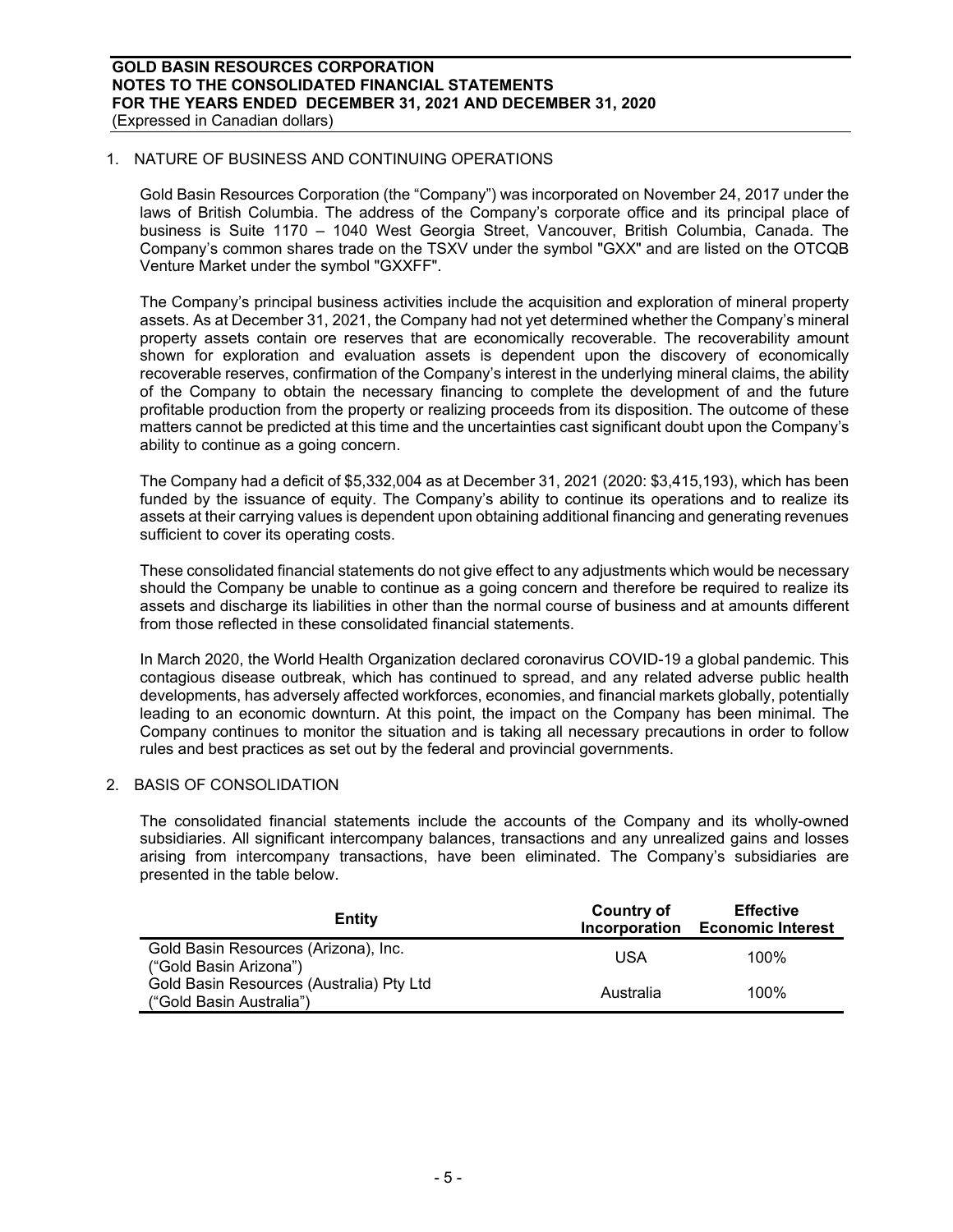## 1. NATURE OF BUSINESS AND CONTINUING OPERATIONS

Gold Basin Resources Corporation (the "Company") was incorporated on November 24, 2017 under the laws of British Columbia. The address of the Company's corporate office and its principal place of business is Suite 1170 – 1040 West Georgia Street, Vancouver, British Columbia, Canada. The Company's common shares trade on the TSXV under the symbol "GXX" and are listed on the OTCQB Venture Market under the symbol "GXXFF".

The Company's principal business activities include the acquisition and exploration of mineral property assets. As at December 31, 2021, the Company had not yet determined whether the Company's mineral property assets contain ore reserves that are economically recoverable. The recoverability amount shown for exploration and evaluation assets is dependent upon the discovery of economically recoverable reserves, confirmation of the Company's interest in the underlying mineral claims, the ability of the Company to obtain the necessary financing to complete the development of and the future profitable production from the property or realizing proceeds from its disposition. The outcome of these matters cannot be predicted at this time and the uncertainties cast significant doubt upon the Company's ability to continue as a going concern.

The Company had a deficit of \$5,332,004 as at December 31, 2021 (2020: \$3,415,193), which has been funded by the issuance of equity. The Company's ability to continue its operations and to realize its assets at their carrying values is dependent upon obtaining additional financing and generating revenues sufficient to cover its operating costs.

These consolidated financial statements do not give effect to any adjustments which would be necessary should the Company be unable to continue as a going concern and therefore be required to realize its assets and discharge its liabilities in other than the normal course of business and at amounts different from those reflected in these consolidated financial statements.

In March 2020, the World Health Organization declared coronavirus COVID-19 a global pandemic. This contagious disease outbreak, which has continued to spread, and any related adverse public health developments, has adversely affected workforces, economies, and financial markets globally, potentially leading to an economic downturn. At this point, the impact on the Company has been minimal. The Company continues to monitor the situation and is taking all necessary precautions in order to follow rules and best practices as set out by the federal and provincial governments.

### 2. BASIS OF CONSOLIDATION

The consolidated financial statements include the accounts of the Company and its wholly-owned subsidiaries. All significant intercompany balances, transactions and any unrealized gains and losses arising from intercompany transactions, have been eliminated. The Company's subsidiaries are presented in the table below.

| <b>Entity</b>                                                        | Country of<br>Incorporation | <b>Effective</b><br><b>Economic Interest</b> |
|----------------------------------------------------------------------|-----------------------------|----------------------------------------------|
| Gold Basin Resources (Arizona), Inc.<br>("Gold Basin Arizona")       | USA                         | 100%                                         |
| Gold Basin Resources (Australia) Pty Ltd<br>("Gold Basin Australia") | Australia                   | 100%                                         |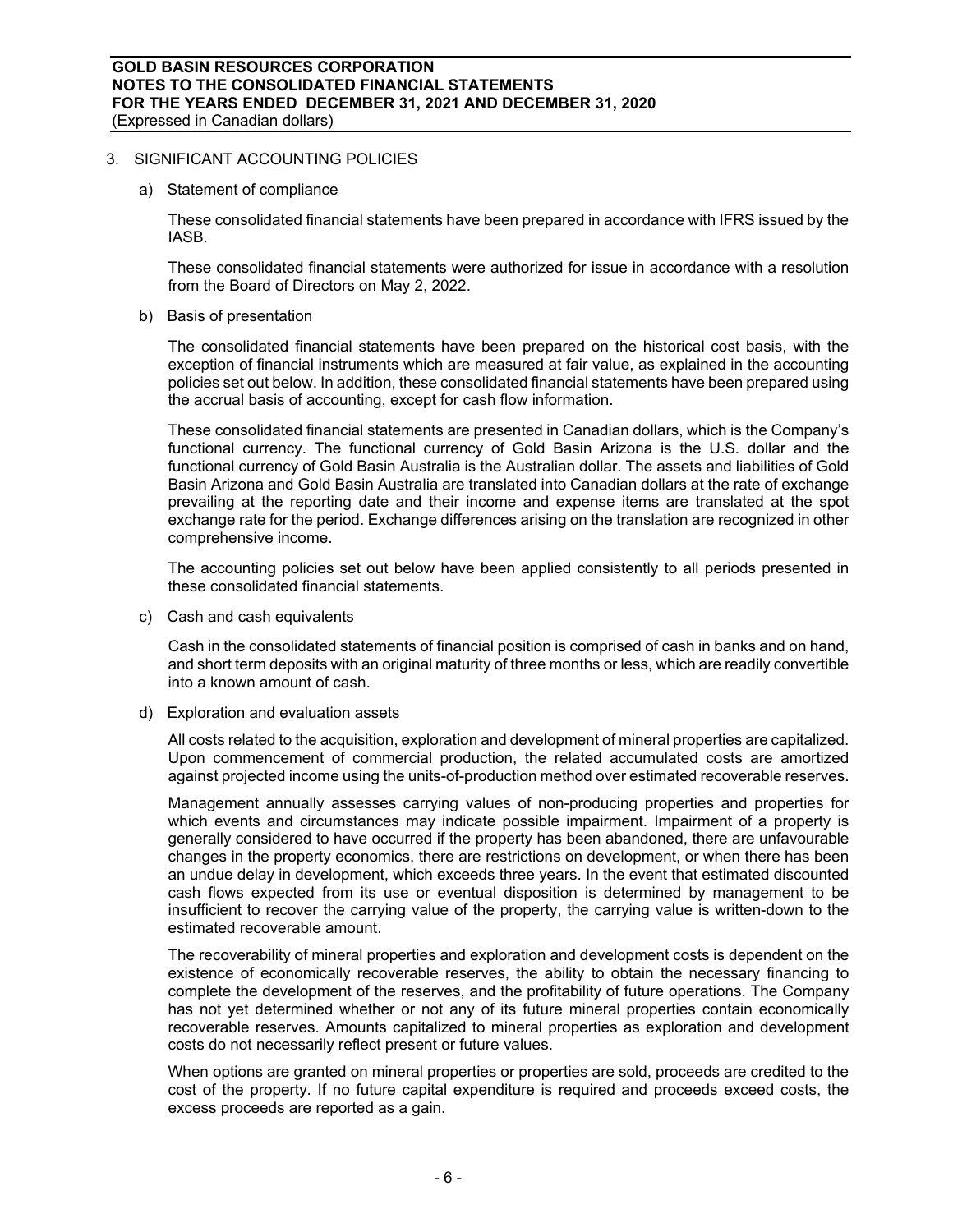(Expressed in Canadian dollars)

#### 3. SIGNIFICANT ACCOUNTING POLICIES

a) Statement of compliance

These consolidated financial statements have been prepared in accordance with IFRS issued by the IASB.

These consolidated financial statements were authorized for issue in accordance with a resolution from the Board of Directors on May 2, 2022.

b) Basis of presentation

The consolidated financial statements have been prepared on the historical cost basis, with the exception of financial instruments which are measured at fair value, as explained in the accounting policies set out below. In addition, these consolidated financial statements have been prepared using the accrual basis of accounting, except for cash flow information.

These consolidated financial statements are presented in Canadian dollars, which is the Company's functional currency. The functional currency of Gold Basin Arizona is the U.S. dollar and the functional currency of Gold Basin Australia is the Australian dollar. The assets and liabilities of Gold Basin Arizona and Gold Basin Australia are translated into Canadian dollars at the rate of exchange prevailing at the reporting date and their income and expense items are translated at the spot exchange rate for the period. Exchange differences arising on the translation are recognized in other comprehensive income.

The accounting policies set out below have been applied consistently to all periods presented in these consolidated financial statements.

c) Cash and cash equivalents

Cash in the consolidated statements of financial position is comprised of cash in banks and on hand, and short term deposits with an original maturity of three months or less, which are readily convertible into a known amount of cash.

d) Exploration and evaluation assets

All costs related to the acquisition, exploration and development of mineral properties are capitalized. Upon commencement of commercial production, the related accumulated costs are amortized against projected income using the units-of-production method over estimated recoverable reserves.

Management annually assesses carrying values of non-producing properties and properties for which events and circumstances may indicate possible impairment. Impairment of a property is generally considered to have occurred if the property has been abandoned, there are unfavourable changes in the property economics, there are restrictions on development, or when there has been an undue delay in development, which exceeds three years. In the event that estimated discounted cash flows expected from its use or eventual disposition is determined by management to be insufficient to recover the carrying value of the property, the carrying value is written-down to the estimated recoverable amount.

The recoverability of mineral properties and exploration and development costs is dependent on the existence of economically recoverable reserves, the ability to obtain the necessary financing to complete the development of the reserves, and the profitability of future operations. The Company has not yet determined whether or not any of its future mineral properties contain economically recoverable reserves. Amounts capitalized to mineral properties as exploration and development costs do not necessarily reflect present or future values.

When options are granted on mineral properties or properties are sold, proceeds are credited to the cost of the property. If no future capital expenditure is required and proceeds exceed costs, the excess proceeds are reported as a gain.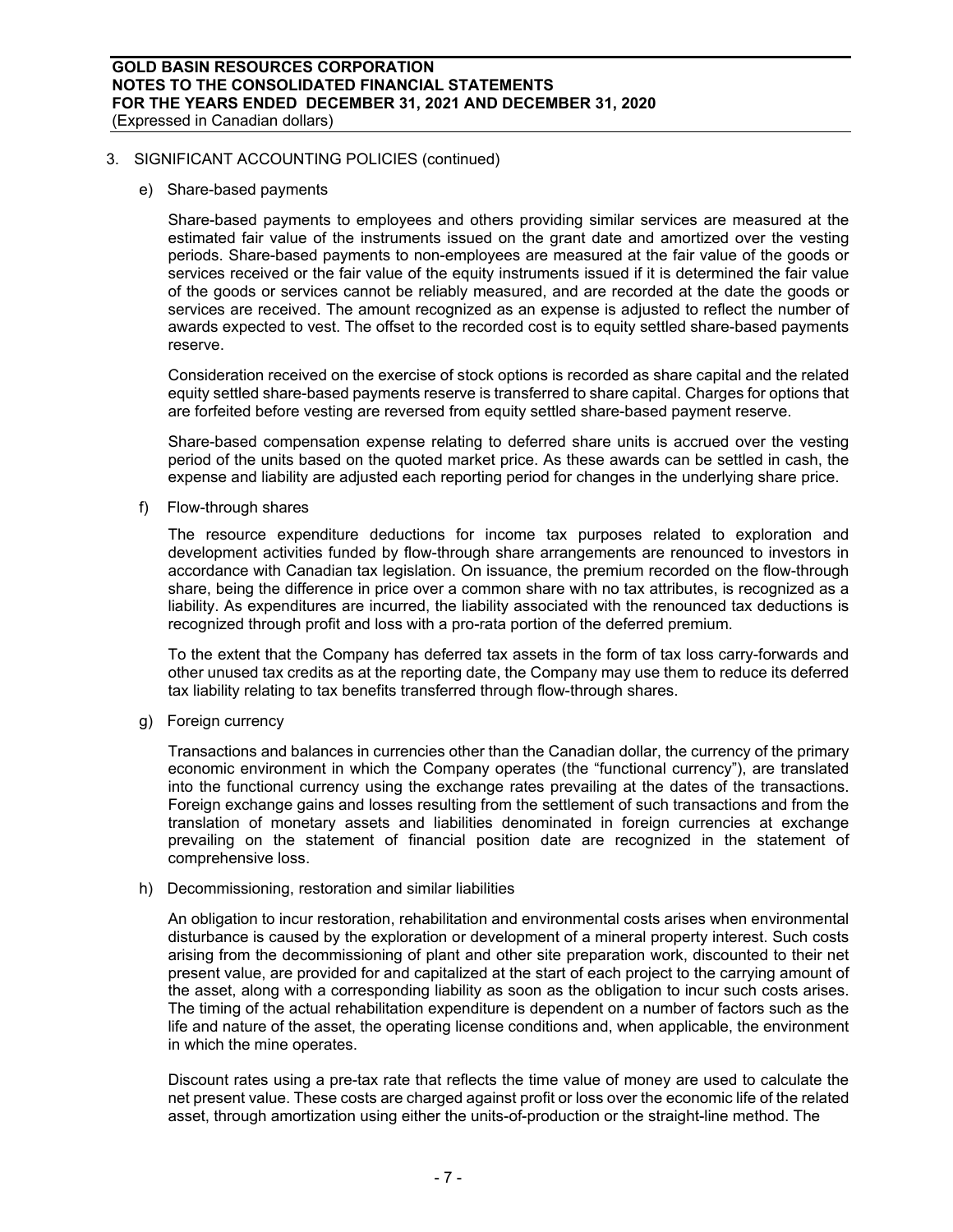(Expressed in Canadian dollars)

## 3. SIGNIFICANT ACCOUNTING POLICIES (continued)

e) Share-based payments

Share-based payments to employees and others providing similar services are measured at the estimated fair value of the instruments issued on the grant date and amortized over the vesting periods. Share-based payments to non-employees are measured at the fair value of the goods or services received or the fair value of the equity instruments issued if it is determined the fair value of the goods or services cannot be reliably measured, and are recorded at the date the goods or services are received. The amount recognized as an expense is adjusted to reflect the number of awards expected to vest. The offset to the recorded cost is to equity settled share-based payments reserve.

Consideration received on the exercise of stock options is recorded as share capital and the related equity settled share-based payments reserve is transferred to share capital. Charges for options that are forfeited before vesting are reversed from equity settled share-based payment reserve.

Share-based compensation expense relating to deferred share units is accrued over the vesting period of the units based on the quoted market price. As these awards can be settled in cash, the expense and liability are adjusted each reporting period for changes in the underlying share price.

f) Flow-through shares

The resource expenditure deductions for income tax purposes related to exploration and development activities funded by flow-through share arrangements are renounced to investors in accordance with Canadian tax legislation. On issuance, the premium recorded on the flow-through share, being the difference in price over a common share with no tax attributes, is recognized as a liability. As expenditures are incurred, the liability associated with the renounced tax deductions is recognized through profit and loss with a pro-rata portion of the deferred premium.

To the extent that the Company has deferred tax assets in the form of tax loss carry-forwards and other unused tax credits as at the reporting date, the Company may use them to reduce its deferred tax liability relating to tax benefits transferred through flow-through shares.

g) Foreign currency

Transactions and balances in currencies other than the Canadian dollar, the currency of the primary economic environment in which the Company operates (the "functional currency"), are translated into the functional currency using the exchange rates prevailing at the dates of the transactions. Foreign exchange gains and losses resulting from the settlement of such transactions and from the translation of monetary assets and liabilities denominated in foreign currencies at exchange prevailing on the statement of financial position date are recognized in the statement of comprehensive loss.

h) Decommissioning, restoration and similar liabilities

An obligation to incur restoration, rehabilitation and environmental costs arises when environmental disturbance is caused by the exploration or development of a mineral property interest. Such costs arising from the decommissioning of plant and other site preparation work, discounted to their net present value, are provided for and capitalized at the start of each project to the carrying amount of the asset, along with a corresponding liability as soon as the obligation to incur such costs arises. The timing of the actual rehabilitation expenditure is dependent on a number of factors such as the life and nature of the asset, the operating license conditions and, when applicable, the environment in which the mine operates.

Discount rates using a pre-tax rate that reflects the time value of money are used to calculate the net present value. These costs are charged against profit or loss over the economic life of the related asset, through amortization using either the units-of-production or the straight-line method. The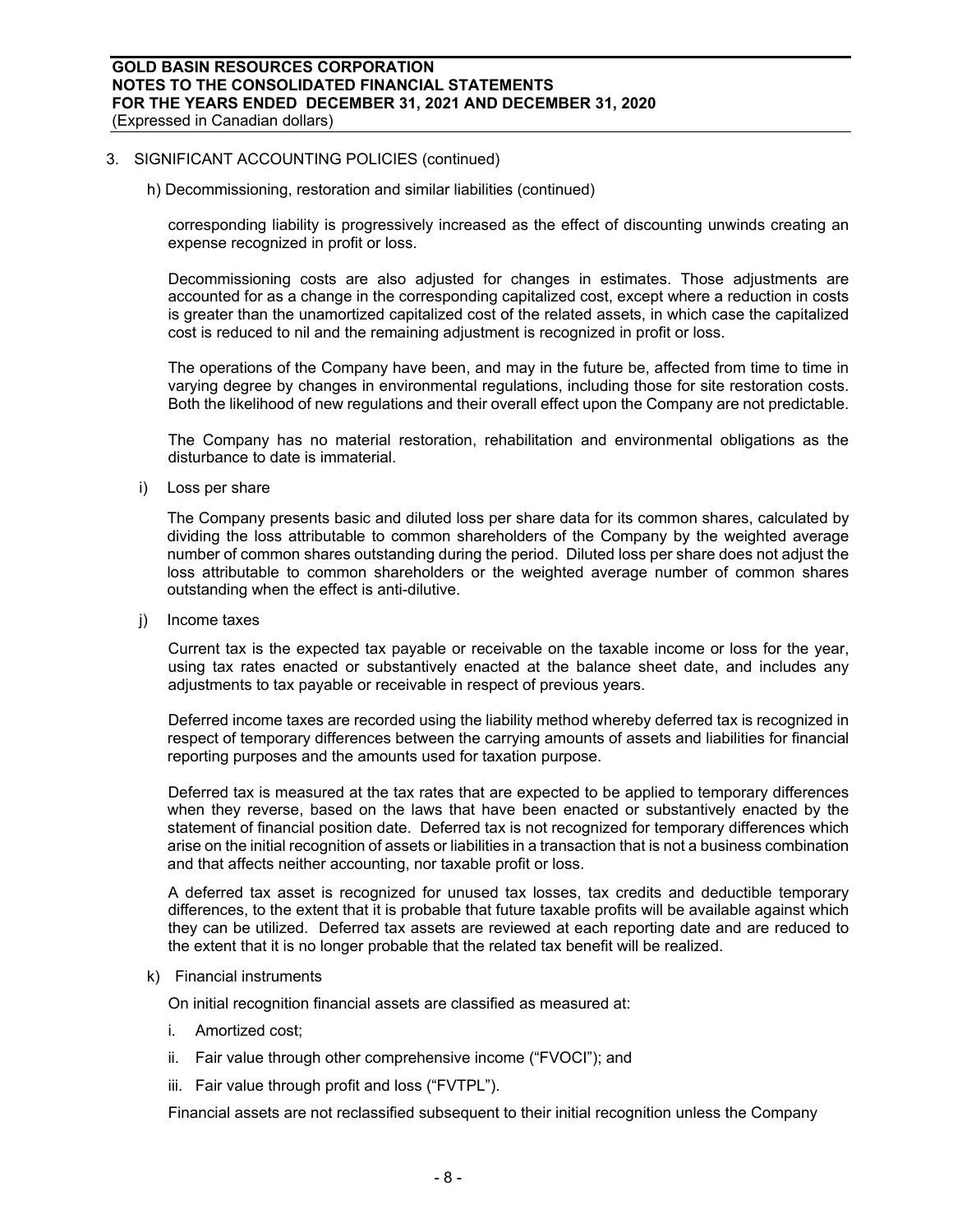#### 3. SIGNIFICANT ACCOUNTING POLICIES (continued)

h) Decommissioning, restoration and similar liabilities (continued)

corresponding liability is progressively increased as the effect of discounting unwinds creating an expense recognized in profit or loss.

Decommissioning costs are also adjusted for changes in estimates. Those adjustments are accounted for as a change in the corresponding capitalized cost, except where a reduction in costs is greater than the unamortized capitalized cost of the related assets, in which case the capitalized cost is reduced to nil and the remaining adjustment is recognized in profit or loss.

The operations of the Company have been, and may in the future be, affected from time to time in varying degree by changes in environmental regulations, including those for site restoration costs. Both the likelihood of new regulations and their overall effect upon the Company are not predictable.

The Company has no material restoration, rehabilitation and environmental obligations as the disturbance to date is immaterial.

i) Loss per share

 The Company presents basic and diluted loss per share data for its common shares, calculated by dividing the loss attributable to common shareholders of the Company by the weighted average number of common shares outstanding during the period. Diluted loss per share does not adjust the loss attributable to common shareholders or the weighted average number of common shares outstanding when the effect is anti-dilutive.

j) Income taxes

 Current tax is the expected tax payable or receivable on the taxable income or loss for the year, using tax rates enacted or substantively enacted at the balance sheet date, and includes any adjustments to tax payable or receivable in respect of previous years.

Deferred income taxes are recorded using the liability method whereby deferred tax is recognized in respect of temporary differences between the carrying amounts of assets and liabilities for financial reporting purposes and the amounts used for taxation purpose.

Deferred tax is measured at the tax rates that are expected to be applied to temporary differences when they reverse, based on the laws that have been enacted or substantively enacted by the statement of financial position date. Deferred tax is not recognized for temporary differences which arise on the initial recognition of assets or liabilities in a transaction that is not a business combination and that affects neither accounting, nor taxable profit or loss.

 A deferred tax asset is recognized for unused tax losses, tax credits and deductible temporary differences, to the extent that it is probable that future taxable profits will be available against which they can be utilized. Deferred tax assets are reviewed at each reporting date and are reduced to the extent that it is no longer probable that the related tax benefit will be realized.

#### k) Financial instruments

On initial recognition financial assets are classified as measured at:

- i. Amortized cost;
- ii. Fair value through other comprehensive income ("FVOCI"); and
- iii. Fair value through profit and loss ("FVTPL").

Financial assets are not reclassified subsequent to their initial recognition unless the Company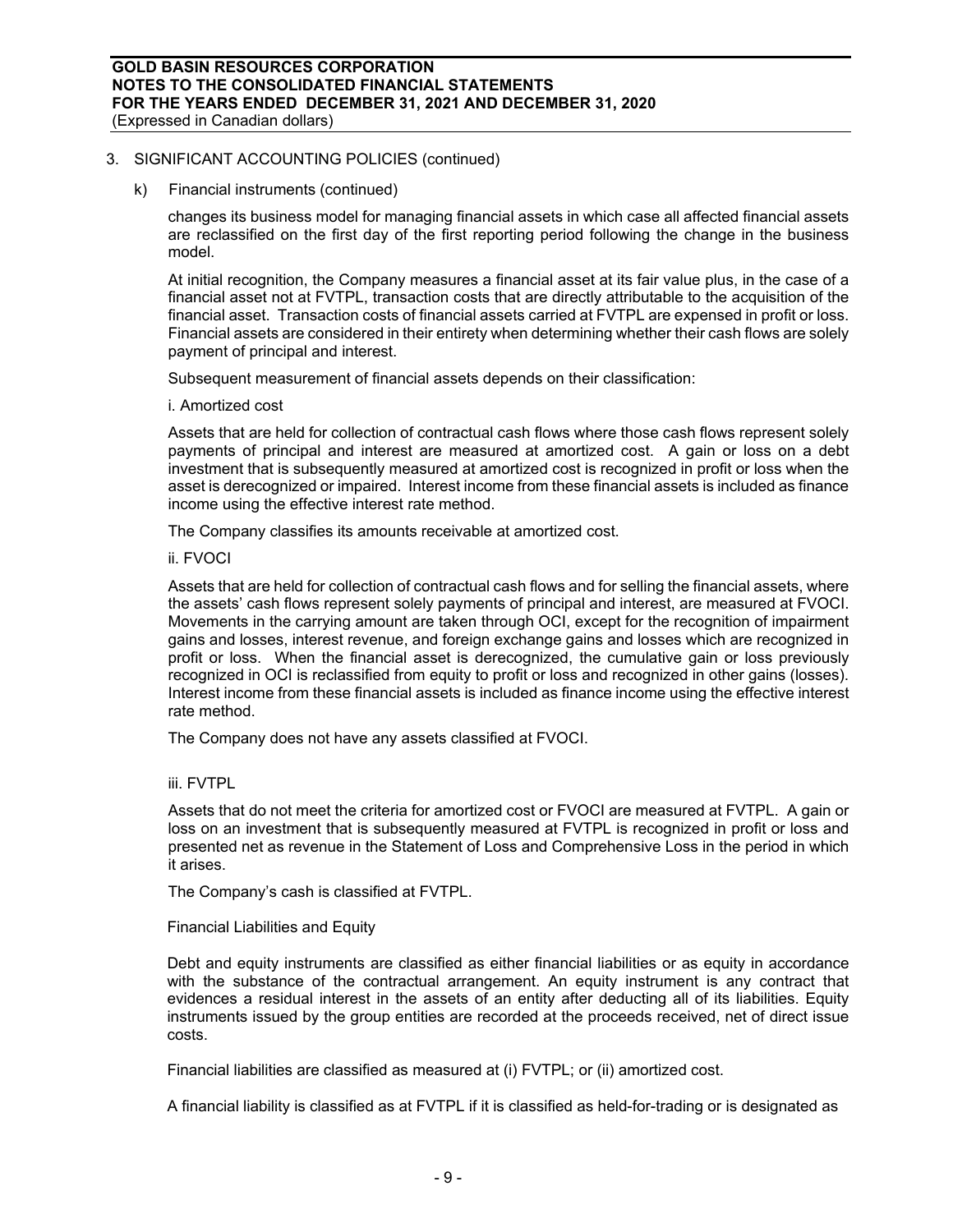(Expressed in Canadian dollars)

### 3. SIGNIFICANT ACCOUNTING POLICIES (continued)

k) Financial instruments (continued)

changes its business model for managing financial assets in which case all affected financial assets are reclassified on the first day of the first reporting period following the change in the business model.

At initial recognition, the Company measures a financial asset at its fair value plus, in the case of a financial asset not at FVTPL, transaction costs that are directly attributable to the acquisition of the financial asset. Transaction costs of financial assets carried at FVTPL are expensed in profit or loss. Financial assets are considered in their entirety when determining whether their cash flows are solely payment of principal and interest.

Subsequent measurement of financial assets depends on their classification:

i. Amortized cost

Assets that are held for collection of contractual cash flows where those cash flows represent solely payments of principal and interest are measured at amortized cost. A gain or loss on a debt investment that is subsequently measured at amortized cost is recognized in profit or loss when the asset is derecognized or impaired. Interest income from these financial assets is included as finance income using the effective interest rate method.

The Company classifies its amounts receivable at amortized cost.

ii. FVOCI

Assets that are held for collection of contractual cash flows and for selling the financial assets, where the assets' cash flows represent solely payments of principal and interest, are measured at FVOCI. Movements in the carrying amount are taken through OCI, except for the recognition of impairment gains and losses, interest revenue, and foreign exchange gains and losses which are recognized in profit or loss. When the financial asset is derecognized, the cumulative gain or loss previously recognized in OCI is reclassified from equity to profit or loss and recognized in other gains (losses). Interest income from these financial assets is included as finance income using the effective interest rate method.

The Company does not have any assets classified at FVOCI.

iii. FVTPL

Assets that do not meet the criteria for amortized cost or FVOCI are measured at FVTPL. A gain or loss on an investment that is subsequently measured at FVTPL is recognized in profit or loss and presented net as revenue in the Statement of Loss and Comprehensive Loss in the period in which it arises.

The Company's cash is classified at FVTPL.

Financial Liabilities and Equity

Debt and equity instruments are classified as either financial liabilities or as equity in accordance with the substance of the contractual arrangement. An equity instrument is any contract that evidences a residual interest in the assets of an entity after deducting all of its liabilities. Equity instruments issued by the group entities are recorded at the proceeds received, net of direct issue costs.

Financial liabilities are classified as measured at (i) FVTPL; or (ii) amortized cost.

A financial liability is classified as at FVTPL if it is classified as held-for-trading or is designated as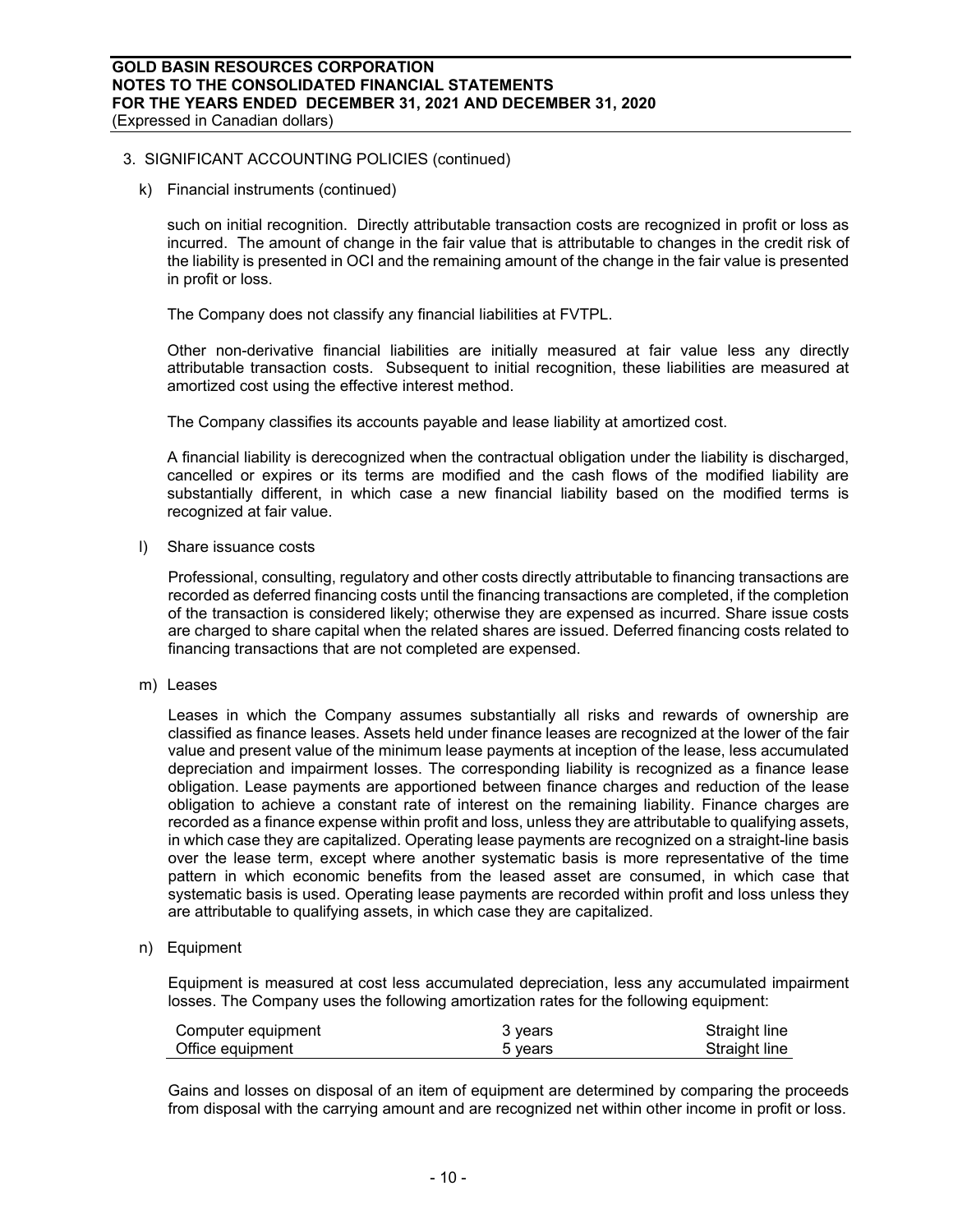#### 3. SIGNIFICANT ACCOUNTING POLICIES (continued)

k) Financial instruments (continued)

such on initial recognition. Directly attributable transaction costs are recognized in profit or loss as incurred. The amount of change in the fair value that is attributable to changes in the credit risk of the liability is presented in OCI and the remaining amount of the change in the fair value is presented in profit or loss.

The Company does not classify any financial liabilities at FVTPL.

Other non-derivative financial liabilities are initially measured at fair value less any directly attributable transaction costs. Subsequent to initial recognition, these liabilities are measured at amortized cost using the effective interest method.

The Company classifies its accounts payable and lease liability at amortized cost.

A financial liability is derecognized when the contractual obligation under the liability is discharged, cancelled or expires or its terms are modified and the cash flows of the modified liability are substantially different, in which case a new financial liability based on the modified terms is recognized at fair value.

l) Share issuance costs

Professional, consulting, regulatory and other costs directly attributable to financing transactions are recorded as deferred financing costs until the financing transactions are completed, if the completion of the transaction is considered likely; otherwise they are expensed as incurred. Share issue costs are charged to share capital when the related shares are issued. Deferred financing costs related to financing transactions that are not completed are expensed.

m) Leases

Leases in which the Company assumes substantially all risks and rewards of ownership are classified as finance leases. Assets held under finance leases are recognized at the lower of the fair value and present value of the minimum lease payments at inception of the lease, less accumulated depreciation and impairment losses. The corresponding liability is recognized as a finance lease obligation. Lease payments are apportioned between finance charges and reduction of the lease obligation to achieve a constant rate of interest on the remaining liability. Finance charges are recorded as a finance expense within profit and loss, unless they are attributable to qualifying assets, in which case they are capitalized. Operating lease payments are recognized on a straight-line basis over the lease term, except where another systematic basis is more representative of the time pattern in which economic benefits from the leased asset are consumed, in which case that systematic basis is used. Operating lease payments are recorded within profit and loss unless they are attributable to qualifying assets, in which case they are capitalized.

n) Equipment

Equipment is measured at cost less accumulated depreciation, less any accumulated impairment losses. The Company uses the following amortization rates for the following equipment:

| Computer equipment | 3 years | Straight line |
|--------------------|---------|---------------|
| Office equipment   | 5 vears | Straight line |

Gains and losses on disposal of an item of equipment are determined by comparing the proceeds from disposal with the carrying amount and are recognized net within other income in profit or loss.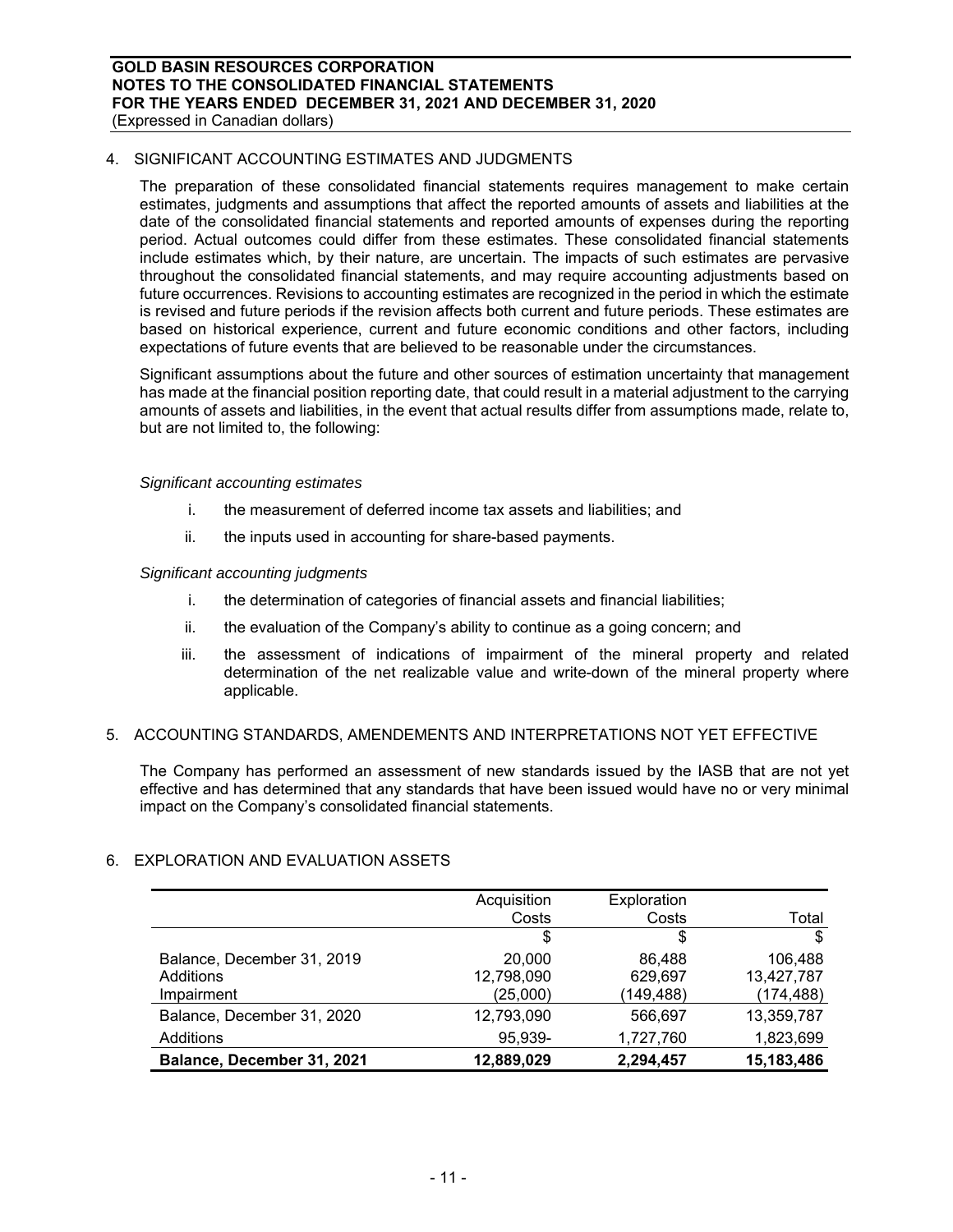(Expressed in Canadian dollars)

### 4. SIGNIFICANT ACCOUNTING ESTIMATES AND JUDGMENTS

The preparation of these consolidated financial statements requires management to make certain estimates, judgments and assumptions that affect the reported amounts of assets and liabilities at the date of the consolidated financial statements and reported amounts of expenses during the reporting period. Actual outcomes could differ from these estimates. These consolidated financial statements include estimates which, by their nature, are uncertain. The impacts of such estimates are pervasive throughout the consolidated financial statements, and may require accounting adjustments based on future occurrences. Revisions to accounting estimates are recognized in the period in which the estimate is revised and future periods if the revision affects both current and future periods. These estimates are based on historical experience, current and future economic conditions and other factors, including expectations of future events that are believed to be reasonable under the circumstances.

Significant assumptions about the future and other sources of estimation uncertainty that management has made at the financial position reporting date, that could result in a material adjustment to the carrying amounts of assets and liabilities, in the event that actual results differ from assumptions made, relate to, but are not limited to, the following:

#### *Significant accounting estimates*

- i. the measurement of deferred income tax assets and liabilities; and
- ii. the inputs used in accounting for share-based payments.

#### *Significant accounting judgments*

- i. the determination of categories of financial assets and financial liabilities;
- ii. the evaluation of the Company's ability to continue as a going concern; and
- iii. the assessment of indications of impairment of the mineral property and related determination of the net realizable value and write-down of the mineral property where applicable.

#### 5. ACCOUNTING STANDARDS, AMENDEMENTS AND INTERPRETATIONS NOT YET EFFECTIVE

The Company has performed an assessment of new standards issued by the IASB that are not yet effective and has determined that any standards that have been issued would have no or very minimal impact on the Company's consolidated financial statements.

## 6. EXPLORATION AND EVALUATION ASSETS

|                            | Acquisition<br>Costs | Exploration<br>Costs | Total      |
|----------------------------|----------------------|----------------------|------------|
|                            | S                    | S                    | \$         |
| Balance, December 31, 2019 | 20,000               | 86,488               | 106.488    |
| Additions                  | 12,798,090           | 629,697              | 13,427,787 |
| Impairment                 | (25,000)             | (149, 488)           | (174, 488) |
| Balance, December 31, 2020 | 12,793,090           | 566,697              | 13,359,787 |
| Additions                  | 95,939-              | 1,727,760            | 1,823,699  |
| Balance, December 31, 2021 | 12,889,029           | 2,294,457            | 15,183,486 |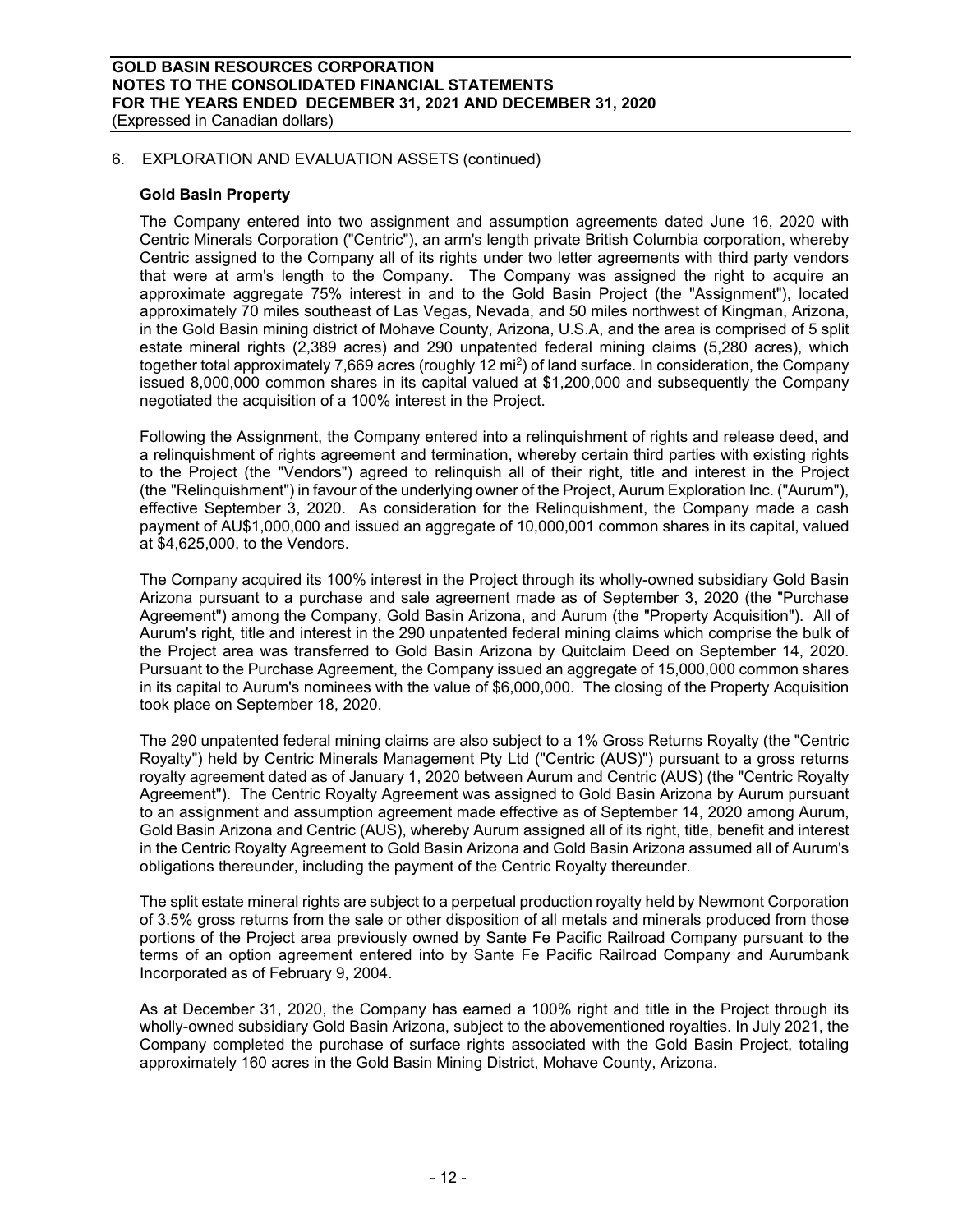#### 6. EXPLORATION AND EVALUATION ASSETS (continued)

#### **Gold Basin Property**

The Company entered into two assignment and assumption agreements dated June 16, 2020 with Centric Minerals Corporation ("Centric"), an arm's length private British Columbia corporation, whereby Centric assigned to the Company all of its rights under two letter agreements with third party vendors that were at arm's length to the Company. The Company was assigned the right to acquire an approximate aggregate 75% interest in and to the Gold Basin Project (the "Assignment"), located approximately 70 miles southeast of Las Vegas, Nevada, and 50 miles northwest of Kingman, Arizona, in the Gold Basin mining district of Mohave County, Arizona, U.S.A, and the area is comprised of 5 split estate mineral rights (2,389 acres) and 290 unpatented federal mining claims (5,280 acres), which together total approximately 7,669 acres (roughly 12 mi2) of land surface. In consideration, the Company issued 8,000,000 common shares in its capital valued at \$1,200,000 and subsequently the Company negotiated the acquisition of a 100% interest in the Project.

Following the Assignment, the Company entered into a relinquishment of rights and release deed, and a relinquishment of rights agreement and termination, whereby certain third parties with existing rights to the Project (the "Vendors") agreed to relinquish all of their right, title and interest in the Project (the "Relinquishment") in favour of the underlying owner of the Project, Aurum Exploration Inc. ("Aurum"), effective September 3, 2020. As consideration for the Relinquishment, the Company made a cash payment of AU\$1,000,000 and issued an aggregate of 10,000,001 common shares in its capital, valued at \$4,625,000, to the Vendors.

The Company acquired its 100% interest in the Project through its wholly-owned subsidiary Gold Basin Arizona pursuant to a purchase and sale agreement made as of September 3, 2020 (the "Purchase Agreement") among the Company, Gold Basin Arizona, and Aurum (the "Property Acquisition"). All of Aurum's right, title and interest in the 290 unpatented federal mining claims which comprise the bulk of the Project area was transferred to Gold Basin Arizona by Quitclaim Deed on September 14, 2020. Pursuant to the Purchase Agreement, the Company issued an aggregate of 15,000,000 common shares in its capital to Aurum's nominees with the value of \$6,000,000. The closing of the Property Acquisition took place on September 18, 2020.

The 290 unpatented federal mining claims are also subject to a 1% Gross Returns Royalty (the "Centric Royalty") held by Centric Minerals Management Pty Ltd ("Centric (AUS)") pursuant to a gross returns royalty agreement dated as of January 1, 2020 between Aurum and Centric (AUS) (the "Centric Royalty Agreement"). The Centric Royalty Agreement was assigned to Gold Basin Arizona by Aurum pursuant to an assignment and assumption agreement made effective as of September 14, 2020 among Aurum, Gold Basin Arizona and Centric (AUS), whereby Aurum assigned all of its right, title, benefit and interest in the Centric Royalty Agreement to Gold Basin Arizona and Gold Basin Arizona assumed all of Aurum's obligations thereunder, including the payment of the Centric Royalty thereunder.

The split estate mineral rights are subject to a perpetual production royalty held by Newmont Corporation of 3.5% gross returns from the sale or other disposition of all metals and minerals produced from those portions of the Project area previously owned by Sante Fe Pacific Railroad Company pursuant to the terms of an option agreement entered into by Sante Fe Pacific Railroad Company and Aurumbank Incorporated as of February 9, 2004.

As at December 31, 2020, the Company has earned a 100% right and title in the Project through its wholly-owned subsidiary Gold Basin Arizona, subject to the abovementioned royalties. In July 2021, the Company completed the purchase of surface rights associated with the Gold Basin Project, totaling approximately 160 acres in the Gold Basin Mining District, Mohave County, Arizona.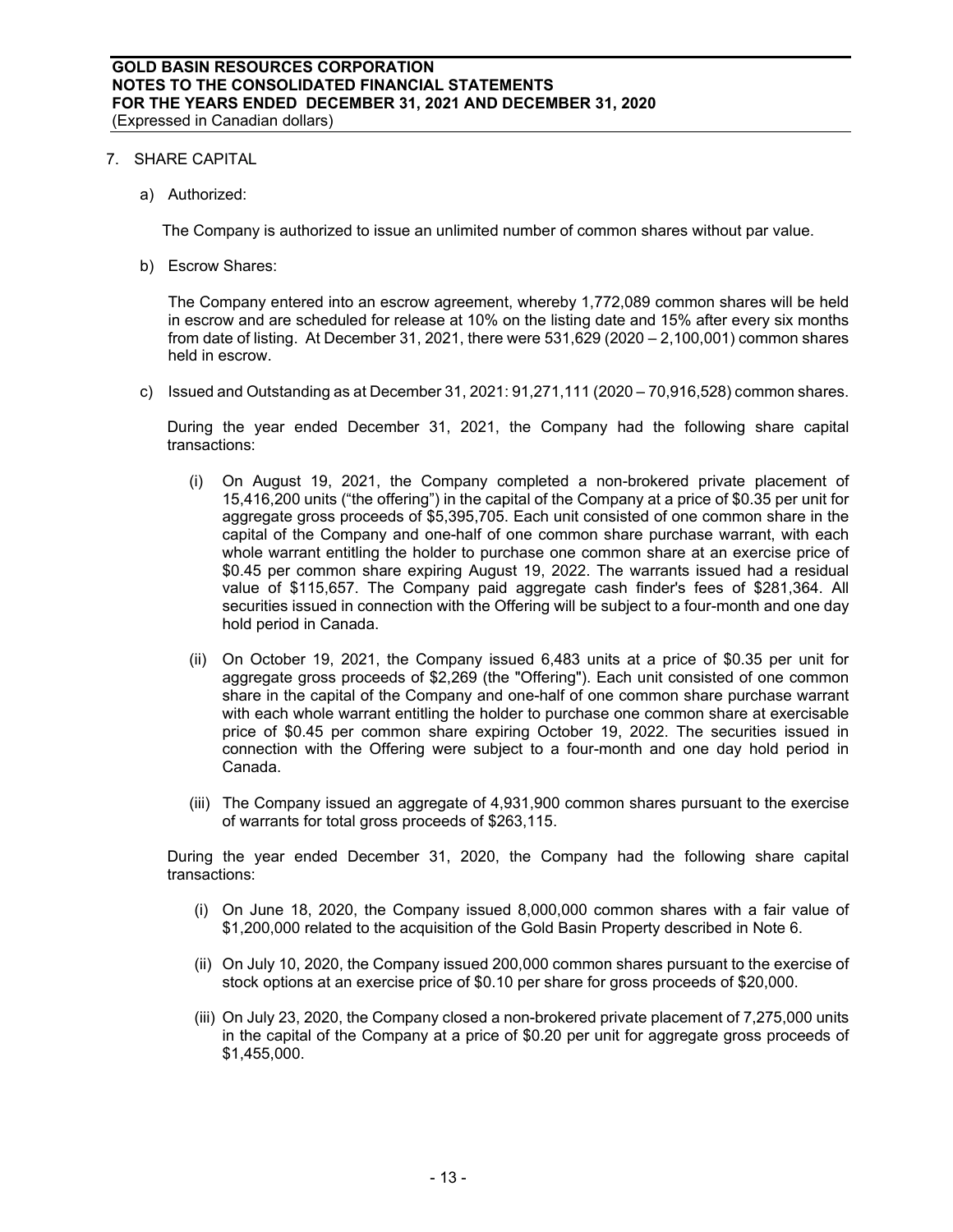7. SHARE CAPITAL

a) Authorized:

The Company is authorized to issue an unlimited number of common shares without par value.

b) Escrow Shares:

The Company entered into an escrow agreement, whereby 1,772,089 common shares will be held in escrow and are scheduled for release at 10% on the listing date and 15% after every six months from date of listing. At December 31, 2021, there were 531,629 (2020 – 2,100,001) common shares held in escrow.

c) Issued and Outstanding as at December 31, 2021: 91,271,111 (2020 – 70,916,528) common shares.

During the year ended December 31, 2021, the Company had the following share capital transactions:

- (i) On August 19, 2021, the Company completed a non-brokered private placement of 15,416,200 units ("the offering") in the capital of the Company at a price of \$0.35 per unit for aggregate gross proceeds of \$5,395,705. Each unit consisted of one common share in the capital of the Company and one-half of one common share purchase warrant, with each whole warrant entitling the holder to purchase one common share at an exercise price of \$0.45 per common share expiring August 19, 2022. The warrants issued had a residual value of \$115,657. The Company paid aggregate cash finder's fees of \$281,364. All securities issued in connection with the Offering will be subject to a four-month and one day hold period in Canada.
- (ii) On October 19, 2021, the Company issued 6,483 units at a price of \$0.35 per unit for aggregate gross proceeds of \$2,269 (the "Offering"). Each unit consisted of one common share in the capital of the Company and one-half of one common share purchase warrant with each whole warrant entitling the holder to purchase one common share at exercisable price of \$0.45 per common share expiring October 19, 2022. The securities issued in connection with the Offering were subject to a four-month and one day hold period in Canada.
- (iii) The Company issued an aggregate of 4,931,900 common shares pursuant to the exercise of warrants for total gross proceeds of \$263,115.

During the year ended December 31, 2020, the Company had the following share capital transactions:

- (i) On June 18, 2020, the Company issued 8,000,000 common shares with a fair value of \$1,200,000 related to the acquisition of the Gold Basin Property described in Note 6.
- (ii) On July 10, 2020, the Company issued 200,000 common shares pursuant to the exercise of stock options at an exercise price of \$0.10 per share for gross proceeds of \$20,000.
- (iii) On July 23, 2020, the Company closed a non-brokered private placement of 7,275,000 units in the capital of the Company at a price of \$0.20 per unit for aggregate gross proceeds of \$1,455,000.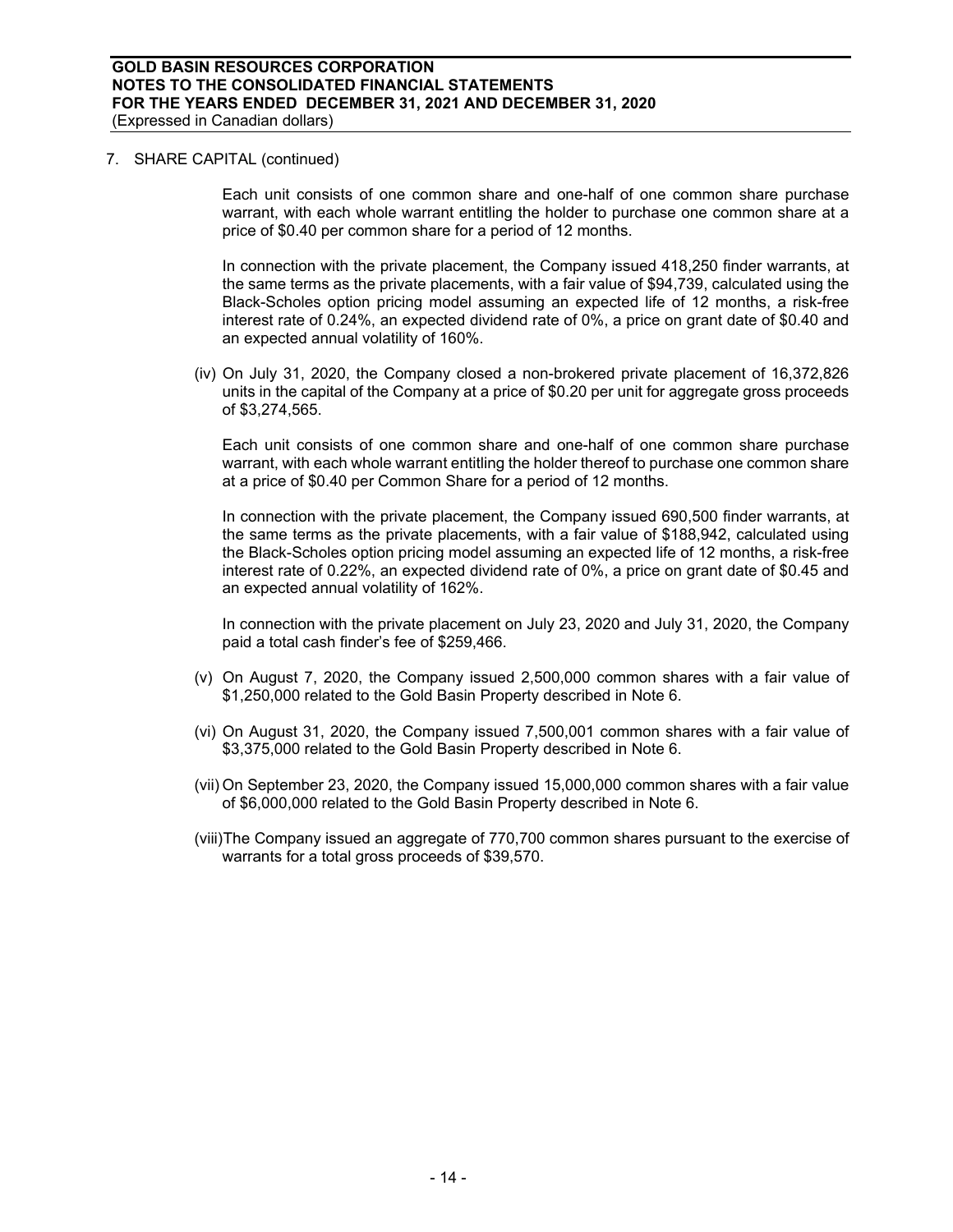### 7. SHARE CAPITAL (continued)

Each unit consists of one common share and one-half of one common share purchase warrant, with each whole warrant entitling the holder to purchase one common share at a price of \$0.40 per common share for a period of 12 months.

In connection with the private placement, the Company issued 418,250 finder warrants, at the same terms as the private placements, with a fair value of \$94,739, calculated using the Black-Scholes option pricing model assuming an expected life of 12 months, a risk-free interest rate of 0.24%, an expected dividend rate of 0%, a price on grant date of \$0.40 and an expected annual volatility of 160%.

(iv) On July 31, 2020, the Company closed a non-brokered private placement of 16,372,826 units in the capital of the Company at a price of \$0.20 per unit for aggregate gross proceeds of \$3,274,565.

Each unit consists of one common share and one-half of one common share purchase warrant, with each whole warrant entitling the holder thereof to purchase one common share at a price of \$0.40 per Common Share for a period of 12 months.

In connection with the private placement, the Company issued 690,500 finder warrants, at the same terms as the private placements, with a fair value of \$188,942, calculated using the Black-Scholes option pricing model assuming an expected life of 12 months, a risk-free interest rate of 0.22%, an expected dividend rate of 0%, a price on grant date of \$0.45 and an expected annual volatility of 162%.

In connection with the private placement on July 23, 2020 and July 31, 2020, the Company paid a total cash finder's fee of \$259,466.

- (v) On August 7, 2020, the Company issued 2,500,000 common shares with a fair value of \$1,250,000 related to the Gold Basin Property described in Note 6.
- (vi) On August 31, 2020, the Company issued 7,500,001 common shares with a fair value of \$3,375,000 related to the Gold Basin Property described in Note 6.
- (vii) On September 23, 2020, the Company issued 15,000,000 common shares with a fair value of \$6,000,000 related to the Gold Basin Property described in Note 6.
- (viii) The Company issued an aggregate of 770,700 common shares pursuant to the exercise of warrants for a total gross proceeds of \$39,570.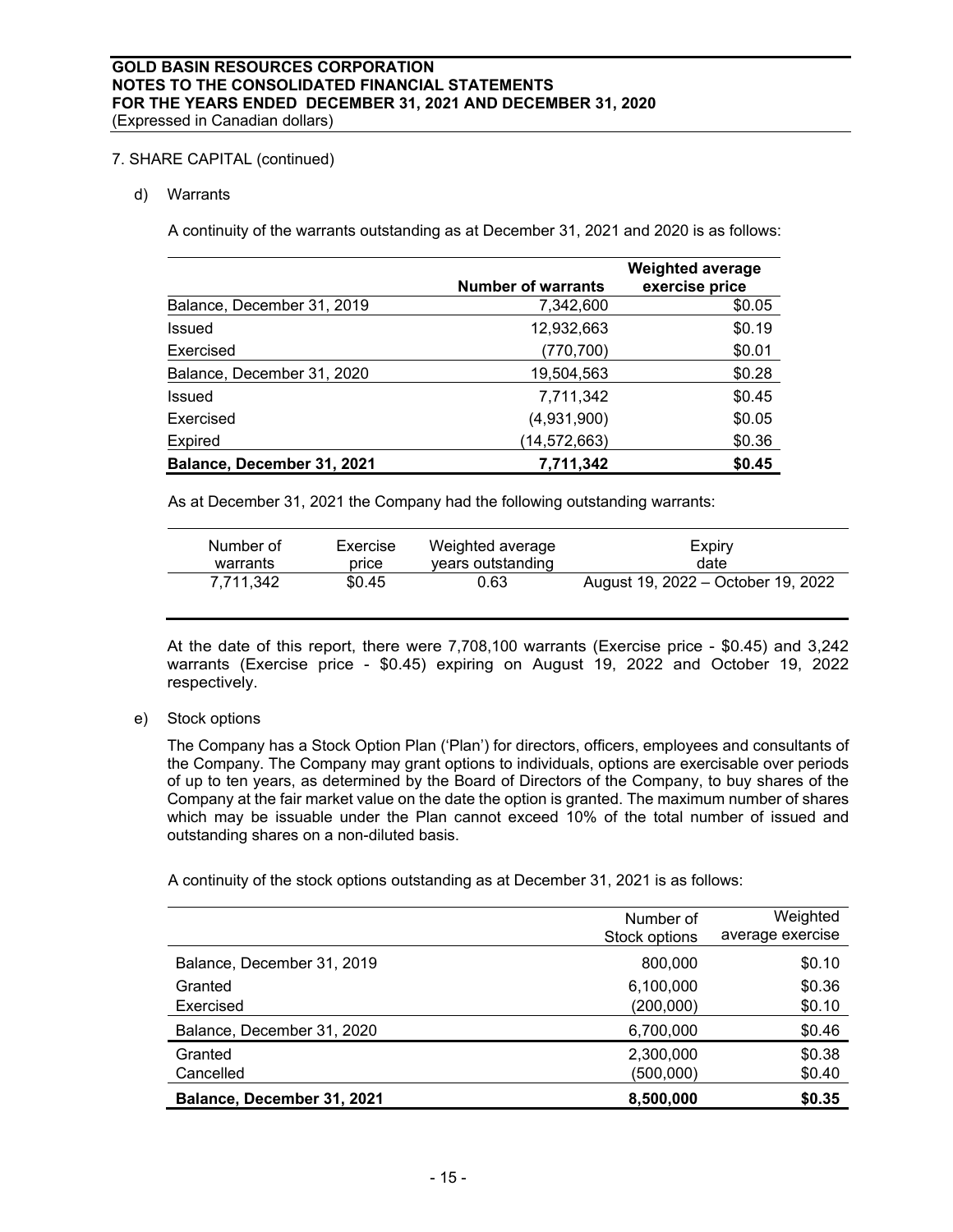## 7. SHARE CAPITAL (continued)

d) Warrants

A continuity of the warrants outstanding as at December 31, 2021 and 2020 is as follows:

|                            |                           | <b>Weighted average</b> |
|----------------------------|---------------------------|-------------------------|
|                            | <b>Number of warrants</b> | exercise price          |
| Balance, December 31, 2019 | 7,342,600                 | \$0.05                  |
| <b>Issued</b>              | 12,932,663                | \$0.19                  |
| Exercised                  | (770, 700)                | \$0.01                  |
| Balance, December 31, 2020 | 19,504,563                | \$0.28                  |
| <b>Issued</b>              | 7,711,342                 | \$0.45                  |
| Exercised                  | (4,931,900)               | \$0.05                  |
| <b>Expired</b>             | (14, 572, 663)            | \$0.36                  |
| Balance, December 31, 2021 | 7,711,342                 | \$0.45                  |

As at December 31, 2021 the Company had the following outstanding warrants:

| Number of | Exercise | Weighted average  | Expiry                             |
|-----------|----------|-------------------|------------------------------------|
| warrants  | price    | vears outstanding | date                               |
| 7.711.342 | \$0.45   | 0.63              | August 19, 2022 – October 19, 2022 |

At the date of this report, there were 7,708,100 warrants (Exercise price - \$0.45) and 3,242 warrants (Exercise price - \$0.45) expiring on August 19, 2022 and October 19, 2022 respectively.

e) Stock options

The Company has a Stock Option Plan ('Plan') for directors, officers, employees and consultants of the Company. The Company may grant options to individuals, options are exercisable over periods of up to ten years, as determined by the Board of Directors of the Company, to buy shares of the Company at the fair market value on the date the option is granted. The maximum number of shares which may be issuable under the Plan cannot exceed 10% of the total number of issued and outstanding shares on a non-diluted basis.

A continuity of the stock options outstanding as at December 31, 2021 is as follows:

|                            | Number of<br>Stock options | Weighted<br>average exercise |
|----------------------------|----------------------------|------------------------------|
| Balance, December 31, 2019 | 800,000                    | \$0.10                       |
| Granted<br>Exercised       | 6,100,000<br>(200,000)     | \$0.36<br>\$0.10             |
| Balance, December 31, 2020 | 6,700,000                  | \$0.46                       |
| Granted<br>Cancelled       | 2,300,000<br>(500,000)     | \$0.38<br>\$0.40             |
| Balance, December 31, 2021 | 8,500,000                  | \$0.35                       |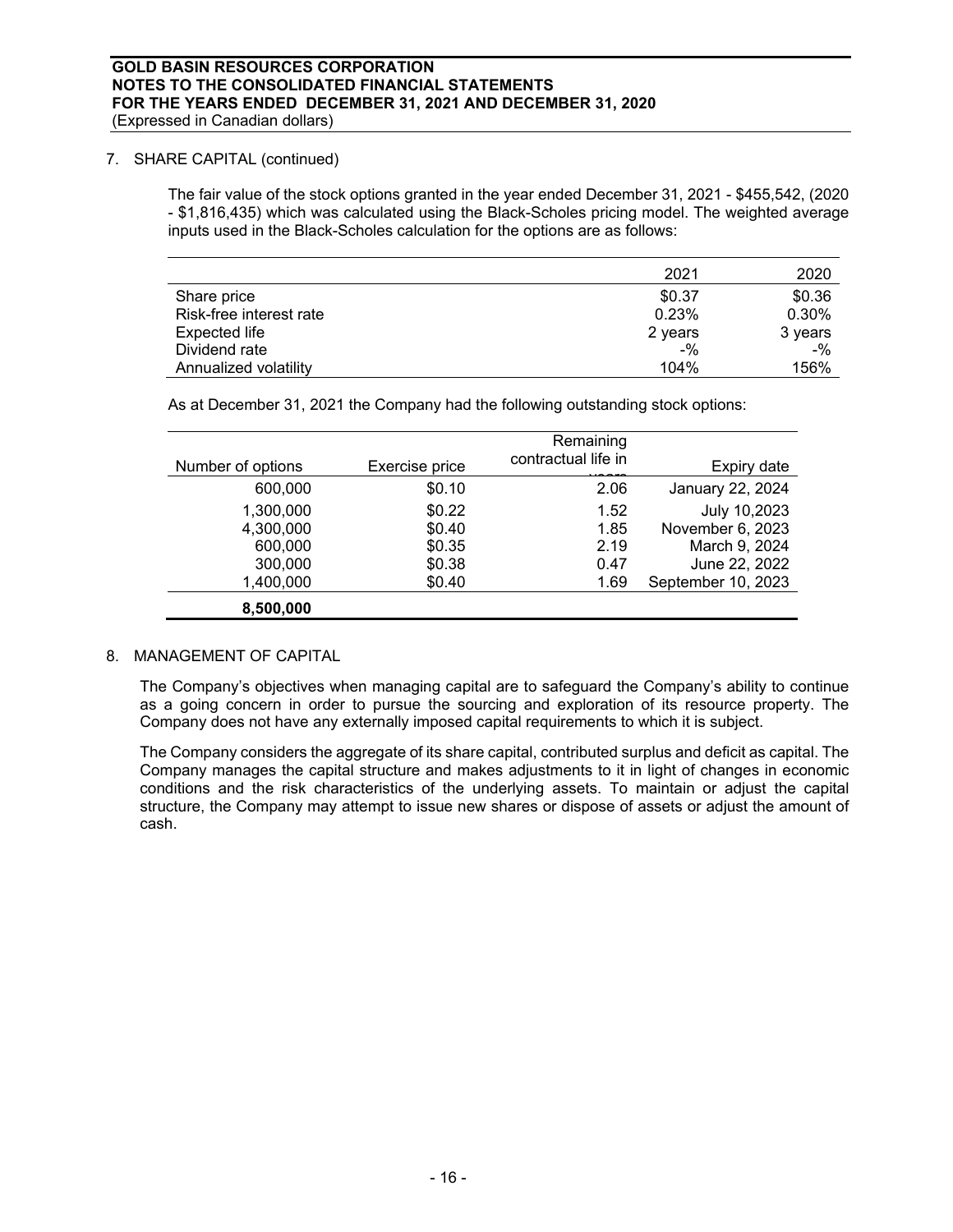## 7. SHARE CAPITAL (continued)

The fair value of the stock options granted in the year ended December 31, 2021 - \$455,542, (2020 - \$1,816,435) which was calculated using the Black-Scholes pricing model. The weighted average inputs used in the Black-Scholes calculation for the options are as follows:

|                         | 2021    | 2020    |
|-------------------------|---------|---------|
| Share price             | \$0.37  | \$0.36  |
| Risk-free interest rate | 0.23%   | 0.30%   |
| Expected life           | 2 years | 3 years |
| Dividend rate           | $-$ %   | $-$ %   |
| Annualized volatility   | 104%    | 156%    |

As at December 31, 2021 the Company had the following outstanding stock options:

|                   |                | Remaining           |                    |
|-------------------|----------------|---------------------|--------------------|
| Number of options | Exercise price | contractual life in | Expiry date        |
| 600,000           | \$0.10         | 2.06                | January 22, 2024   |
| 1,300,000         | \$0.22         | 1.52                | July 10,2023       |
| 4,300,000         | \$0.40         | 1.85                | November 6, 2023   |
| 600,000           | \$0.35         | 2.19                | March 9, 2024      |
| 300,000           | \$0.38         | 0.47                | June 22, 2022      |
| 1,400,000         | \$0.40         | 1.69                | September 10, 2023 |
| 8,500,000         |                |                     |                    |

### 8. MANAGEMENT OF CAPITAL

The Company's objectives when managing capital are to safeguard the Company's ability to continue as a going concern in order to pursue the sourcing and exploration of its resource property. The Company does not have any externally imposed capital requirements to which it is subject.

The Company considers the aggregate of its share capital, contributed surplus and deficit as capital. The Company manages the capital structure and makes adjustments to it in light of changes in economic conditions and the risk characteristics of the underlying assets. To maintain or adjust the capital structure, the Company may attempt to issue new shares or dispose of assets or adjust the amount of cash.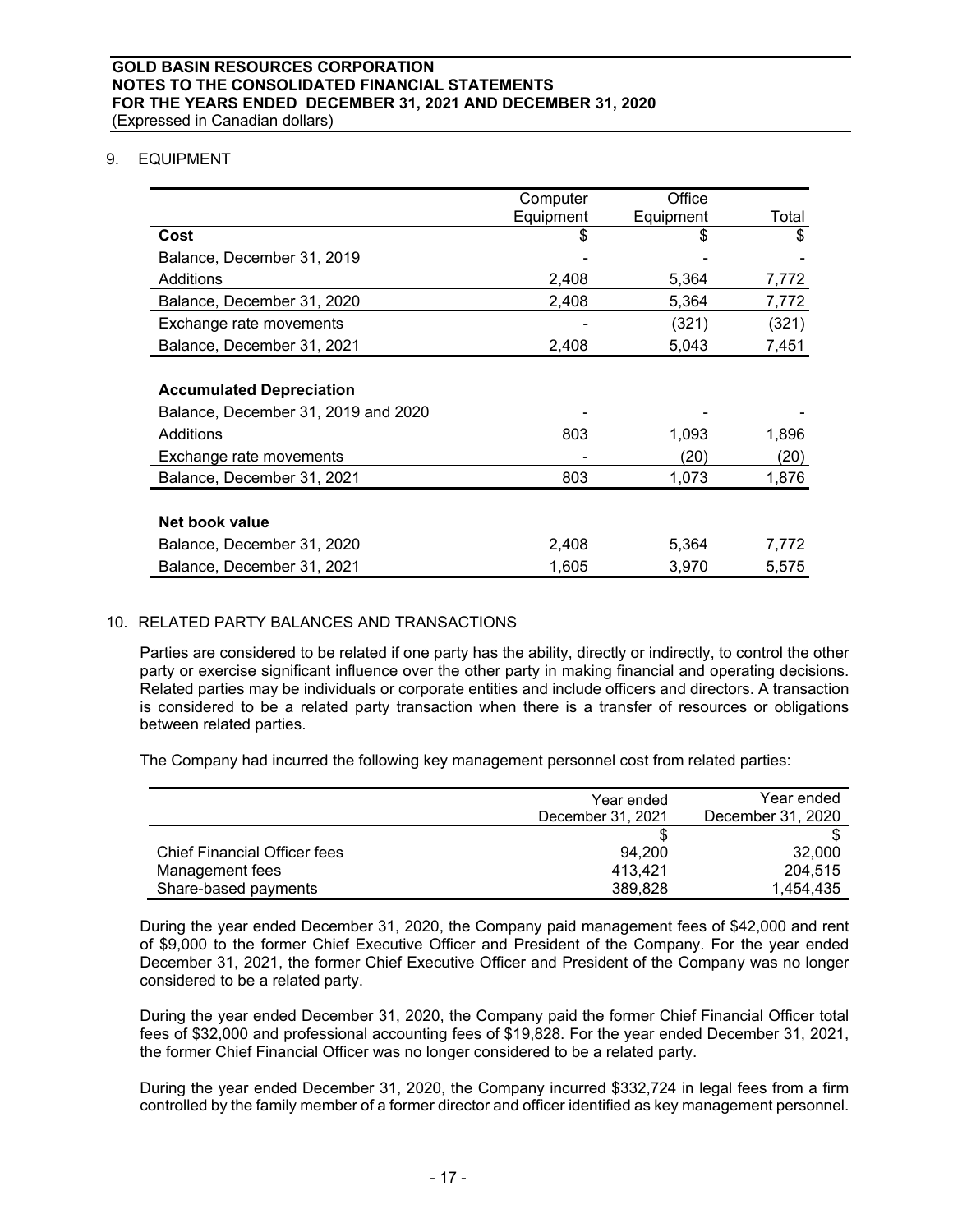(Expressed in Canadian dollars)

## 9. EQUIPMENT

|                                     | Computer  | Office    |       |
|-------------------------------------|-----------|-----------|-------|
|                                     | Equipment | Equipment | Total |
| Cost                                | \$        | \$        | \$    |
| Balance, December 31, 2019          |           |           |       |
| Additions                           | 2,408     | 5,364     | 7,772 |
| Balance, December 31, 2020          | 2,408     | 5,364     | 7,772 |
| Exchange rate movements             |           | (321)     | (321) |
| Balance, December 31, 2021          | 2,408     | 5,043     | 7,451 |
|                                     |           |           |       |
| <b>Accumulated Depreciation</b>     |           |           |       |
| Balance, December 31, 2019 and 2020 |           |           |       |
| Additions                           | 803       | 1,093     | 1,896 |
| Exchange rate movements             |           | (20)      | (20)  |
| Balance, December 31, 2021          | 803       | 1,073     | 1,876 |
|                                     |           |           |       |
| Net book value                      |           |           |       |
| Balance, December 31, 2020          | 2,408     | 5,364     | 7,772 |
| Balance, December 31, 2021          | 1,605     | 3,970     | 5,575 |

## 10. RELATED PARTY BALANCES AND TRANSACTIONS

Parties are considered to be related if one party has the ability, directly or indirectly, to control the other party or exercise significant influence over the other party in making financial and operating decisions. Related parties may be individuals or corporate entities and include officers and directors. A transaction is considered to be a related party transaction when there is a transfer of resources or obligations between related parties.

The Company had incurred the following key management personnel cost from related parties:

|                                     | Year ended<br>December 31, 2021 | Year ended<br>December 31, 2020 |
|-------------------------------------|---------------------------------|---------------------------------|
|                                     |                                 |                                 |
| <b>Chief Financial Officer fees</b> | 94.200                          | 32,000                          |
| Management fees                     | 413.421                         | 204.515                         |
| Share-based payments                | 389,828                         | 1.454.435                       |

During the year ended December 31, 2020, the Company paid management fees of \$42,000 and rent of \$9,000 to the former Chief Executive Officer and President of the Company. For the year ended December 31, 2021, the former Chief Executive Officer and President of the Company was no longer considered to be a related party.

During the year ended December 31, 2020, the Company paid the former Chief Financial Officer total fees of \$32,000 and professional accounting fees of \$19,828. For the year ended December 31, 2021, the former Chief Financial Officer was no longer considered to be a related party.

During the year ended December 31, 2020, the Company incurred \$332,724 in legal fees from a firm controlled by the family member of a former director and officer identified as key management personnel.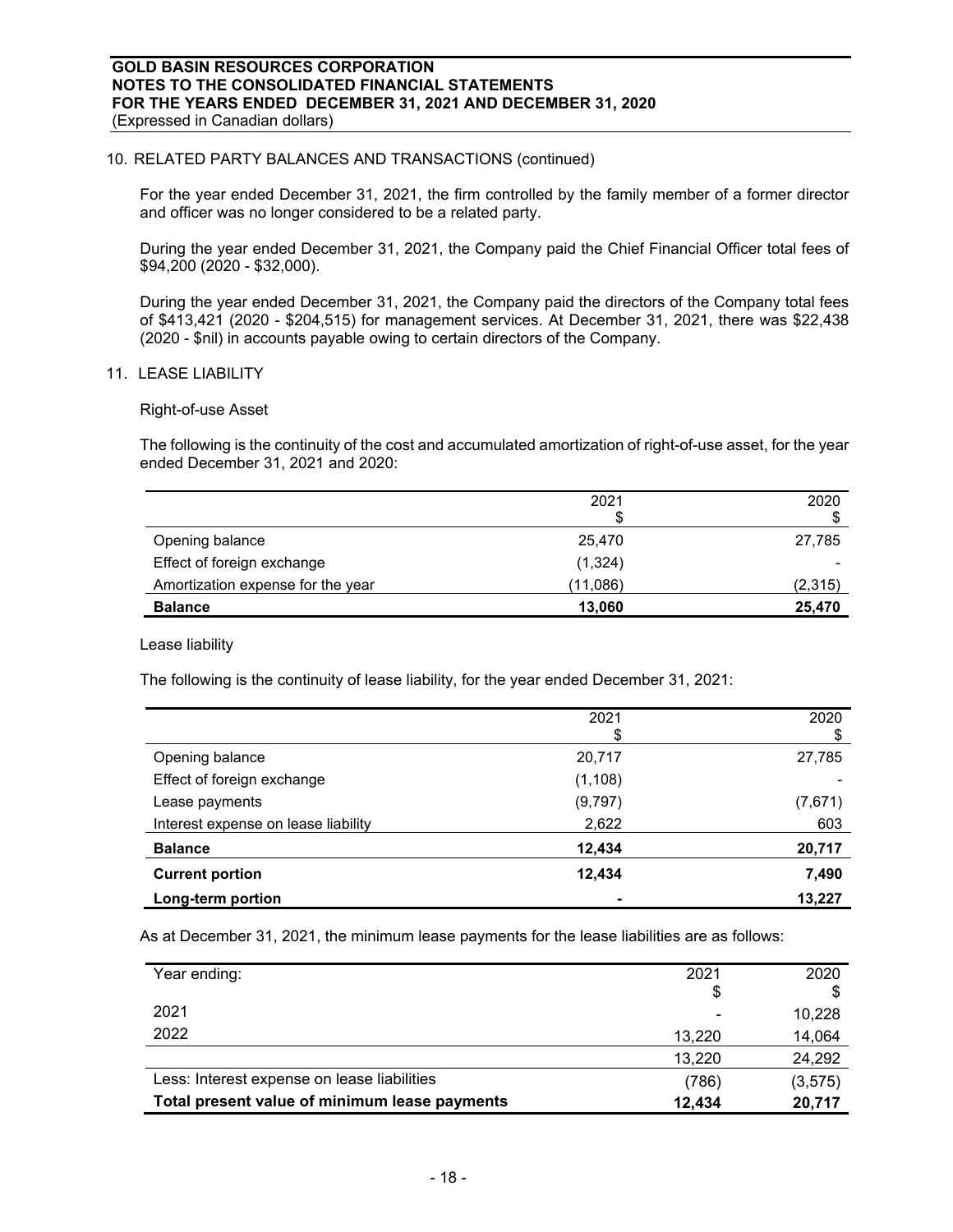## 10. RELATED PARTY BALANCES AND TRANSACTIONS (continued)

For the year ended December 31, 2021, the firm controlled by the family member of a former director and officer was no longer considered to be a related party.

During the year ended December 31, 2021, the Company paid the Chief Financial Officer total fees of \$94,200 (2020 - \$32,000).

During the year ended December 31, 2021, the Company paid the directors of the Company total fees of \$413,421 (2020 - \$204,515) for management services. At December 31, 2021, there was \$22,438 (2020 - \$nil) in accounts payable owing to certain directors of the Company.

### 11. LEASE LIABILITY

#### Right-of-use Asset

The following is the continuity of the cost and accumulated amortization of right-of-use asset, for the year ended December 31, 2021 and 2020:

|                                   | 2021     | 2020    |
|-----------------------------------|----------|---------|
|                                   | S        |         |
| Opening balance                   | 25,470   | 27,785  |
| Effect of foreign exchange        | (1, 324) | ٠       |
| Amortization expense for the year | (11,086) | (2,315) |
| <b>Balance</b>                    | 13,060   | 25,470  |

Lease liability

The following is the continuity of lease liability, for the year ended December 31, 2021:

|                                     | 2021     | 2020    |
|-------------------------------------|----------|---------|
|                                     |          | \$      |
| Opening balance                     | 20,717   | 27,785  |
| Effect of foreign exchange          | (1, 108) |         |
| Lease payments                      | (9,797)  | (7,671) |
| Interest expense on lease liability | 2,622    | 603     |
| <b>Balance</b>                      | 12,434   | 20,717  |
| <b>Current portion</b>              | 12,434   | 7,490   |
| Long-term portion                   | ۰        | 13,227  |

As at December 31, 2021, the minimum lease payments for the lease liabilities are as follows:

| Year ending:                                  | 2021           | 2020     |
|-----------------------------------------------|----------------|----------|
|                                               | \$             |          |
| 2021                                          | $\blacksquare$ | 10.228   |
| 2022                                          | 13.220         | 14,064   |
|                                               | 13,220         | 24,292   |
| Less: Interest expense on lease liabilities   | (786)          | (3, 575) |
| Total present value of minimum lease payments | 12,434         | 20,717   |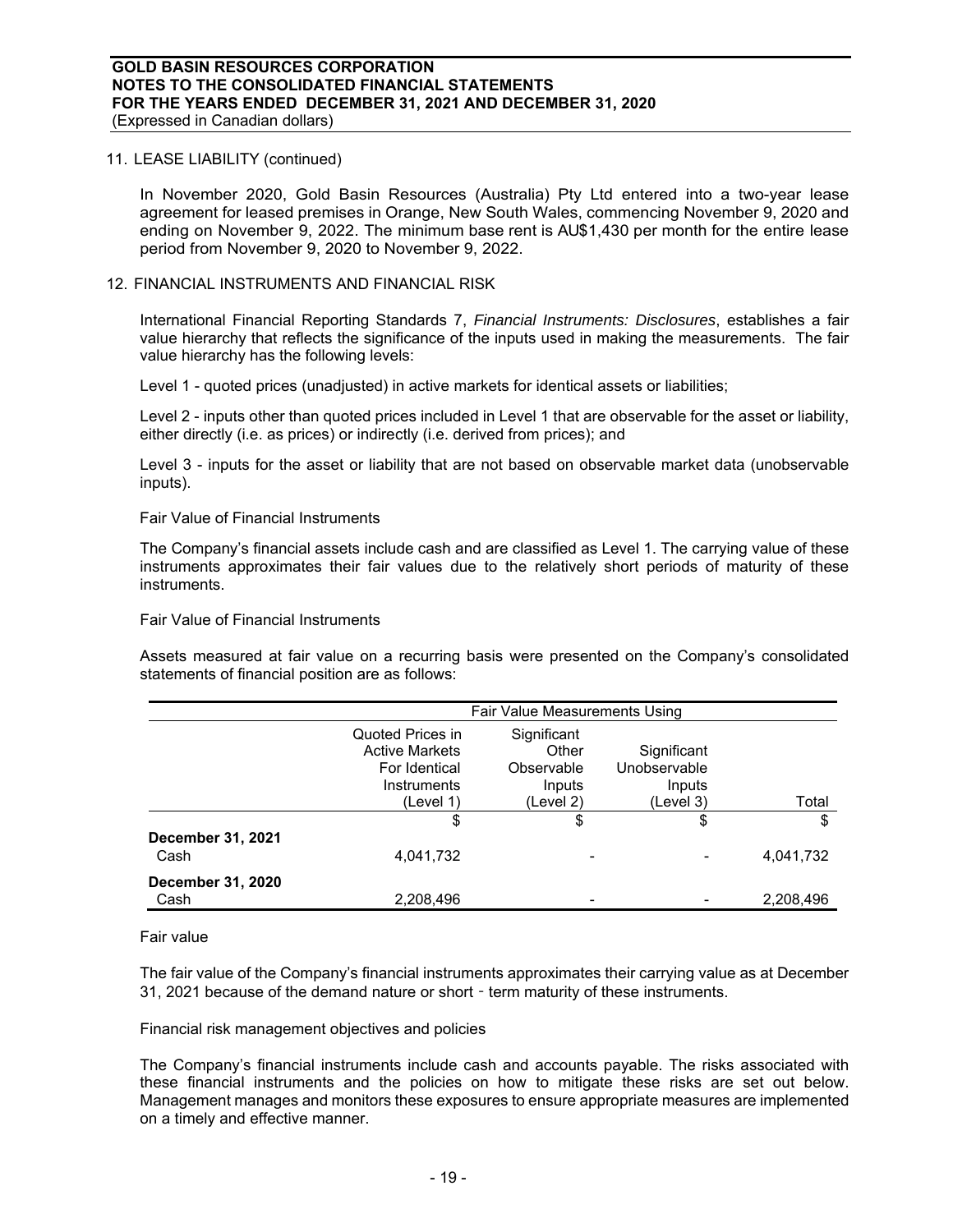#### 11. LEASE LIABILITY (continued)

In November 2020, Gold Basin Resources (Australia) Pty Ltd entered into a two-year lease agreement for leased premises in Orange, New South Wales, commencing November 9, 2020 and ending on November 9, 2022. The minimum base rent is AU\$1,430 per month for the entire lease period from November 9, 2020 to November 9, 2022.

#### 12. FINANCIAL INSTRUMENTS AND FINANCIAL RISK

International Financial Reporting Standards 7, *Financial Instruments: Disclosures*, establishes a fair value hierarchy that reflects the significance of the inputs used in making the measurements. The fair value hierarchy has the following levels:

Level 1 - quoted prices (unadjusted) in active markets for identical assets or liabilities;

Level 2 - inputs other than quoted prices included in Level 1 that are observable for the asset or liability, either directly (i.e. as prices) or indirectly (i.e. derived from prices); and

Level 3 - inputs for the asset or liability that are not based on observable market data (unobservable inputs).

Fair Value of Financial Instruments

The Company's financial assets include cash and are classified as Level 1. The carrying value of these instruments approximates their fair values due to the relatively short periods of maturity of these instruments.

Fair Value of Financial Instruments

Assets measured at fair value on a recurring basis were presented on the Company's consolidated statements of financial position are as follows:

|                           | Fair Value Measurements Using                                                          |                                                           |                                                    |                 |
|---------------------------|----------------------------------------------------------------------------------------|-----------------------------------------------------------|----------------------------------------------------|-----------------|
|                           | Quoted Prices in<br><b>Active Markets</b><br>For Identical<br>Instruments<br>(Level 1) | Significant<br>Other<br>Observable<br>Inputs<br>(Level 2) | Significant<br>Unobservable<br>Inputs<br>(Level 3) | Total           |
| December 31, 2021<br>Cash | \$<br>4,041,732                                                                        | \$<br>۰                                                   | \$<br>٠                                            | \$<br>4,041,732 |
| December 31, 2020<br>Cash | 2,208,496                                                                              |                                                           |                                                    | 2,208,496       |

Fair value

The fair value of the Company's financial instruments approximates their carrying value as at December 31, 2021 because of the demand nature or short - term maturity of these instruments.

Financial risk management objectives and policies

The Company's financial instruments include cash and accounts payable. The risks associated with these financial instruments and the policies on how to mitigate these risks are set out below. Management manages and monitors these exposures to ensure appropriate measures are implemented on a timely and effective manner.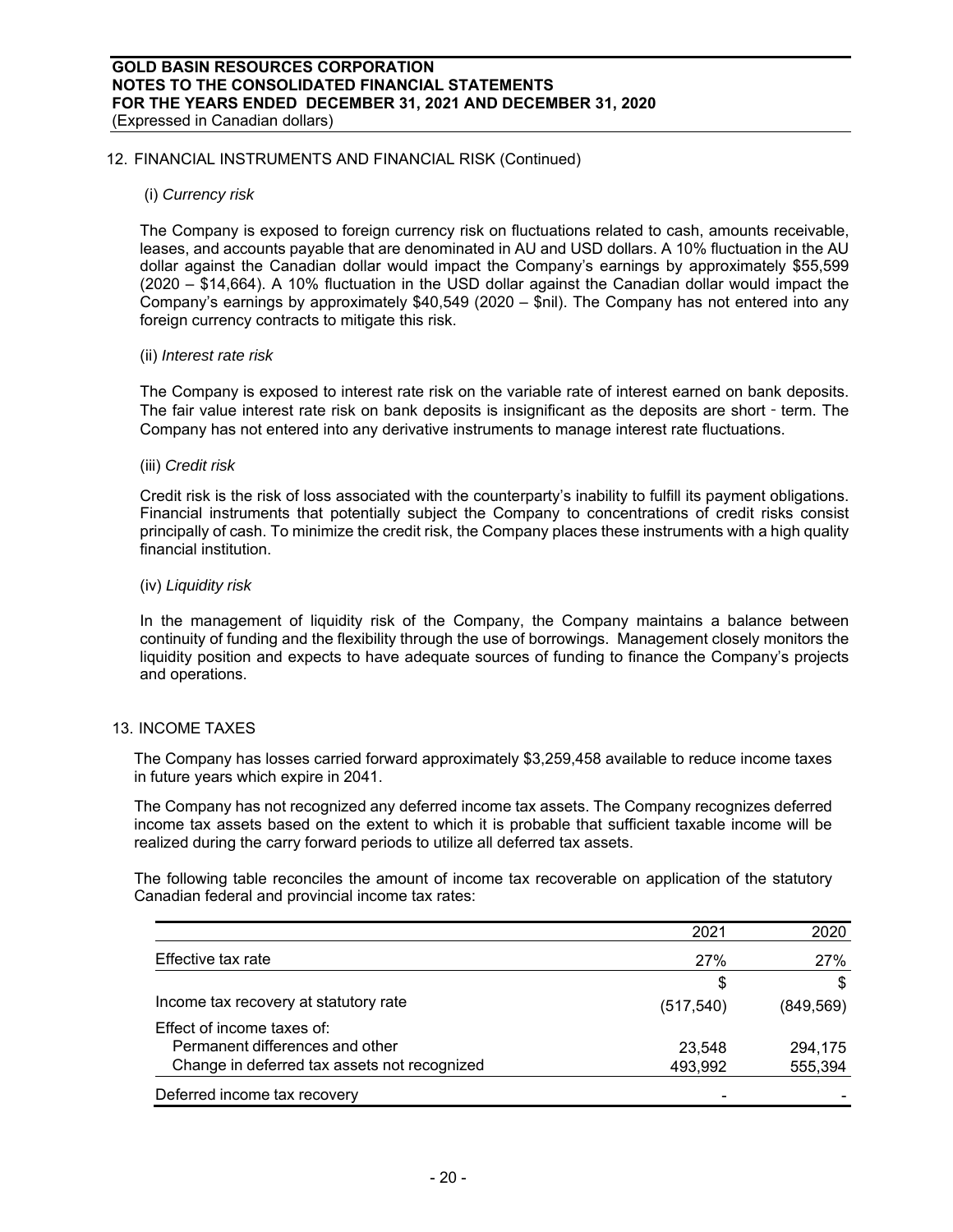## 12. FINANCIAL INSTRUMENTS AND FINANCIAL RISK (Continued)

#### (i) *Currency risk*

The Company is exposed to foreign currency risk on fluctuations related to cash, amounts receivable, leases, and accounts payable that are denominated in AU and USD dollars. A 10% fluctuation in the AU dollar against the Canadian dollar would impact the Company's earnings by approximately \$55,599 (2020 – \$14,664). A 10% fluctuation in the USD dollar against the Canadian dollar would impact the Company's earnings by approximately \$40,549 (2020 – \$nil). The Company has not entered into any foreign currency contracts to mitigate this risk.

#### (ii) *Interest rate risk*

The Company is exposed to interest rate risk on the variable rate of interest earned on bank deposits. The fair value interest rate risk on bank deposits is insignificant as the deposits are short - term. The Company has not entered into any derivative instruments to manage interest rate fluctuations.

#### (iii) *Credit risk*

Credit risk is the risk of loss associated with the counterparty's inability to fulfill its payment obligations. Financial instruments that potentially subject the Company to concentrations of credit risks consist principally of cash. To minimize the credit risk, the Company places these instruments with a high quality financial institution.

#### (iv) *Liquidity risk*

In the management of liquidity risk of the Company, the Company maintains a balance between continuity of funding and the flexibility through the use of borrowings. Management closely monitors the liquidity position and expects to have adequate sources of funding to finance the Company's projects and operations.

## 13. INCOME TAXES

The Company has losses carried forward approximately \$3,259,458 available to reduce income taxes in future years which expire in 2041.

The Company has not recognized any deferred income tax assets. The Company recognizes deferred income tax assets based on the extent to which it is probable that sufficient taxable income will be realized during the carry forward periods to utilize all deferred tax assets.

The following table reconciles the amount of income tax recoverable on application of the statutory Canadian federal and provincial income tax rates:

|                                              | 2021       | 2020       |
|----------------------------------------------|------------|------------|
| Effective tax rate                           | 27%        | 27%        |
|                                              | \$         | S          |
| Income tax recovery at statutory rate        | (517, 540) | (849, 569) |
| Effect of income taxes of:                   |            |            |
| Permanent differences and other              | 23,548     | 294,175    |
| Change in deferred tax assets not recognized | 493,992    | 555,394    |
| Deferred income tax recovery                 |            |            |